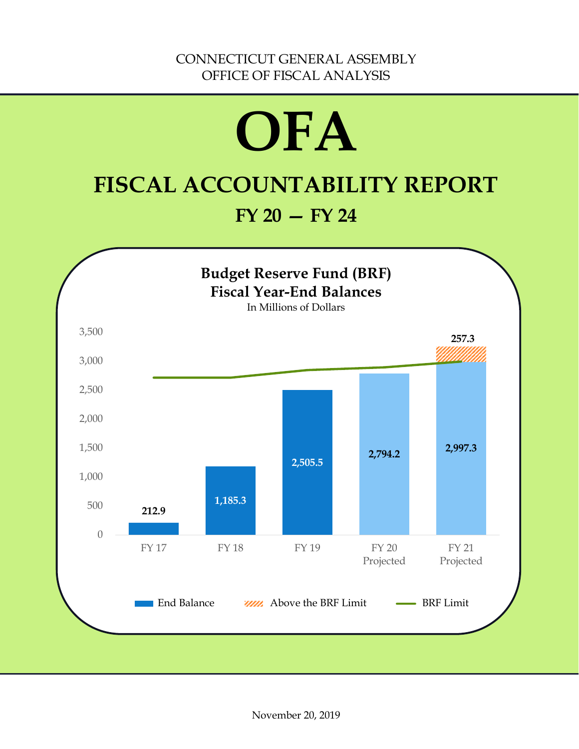# **OFA FISCAL ACCOUNTABILITY REPORT**

# **FY 20 — FY 24**

<span id="page-0-0"></span>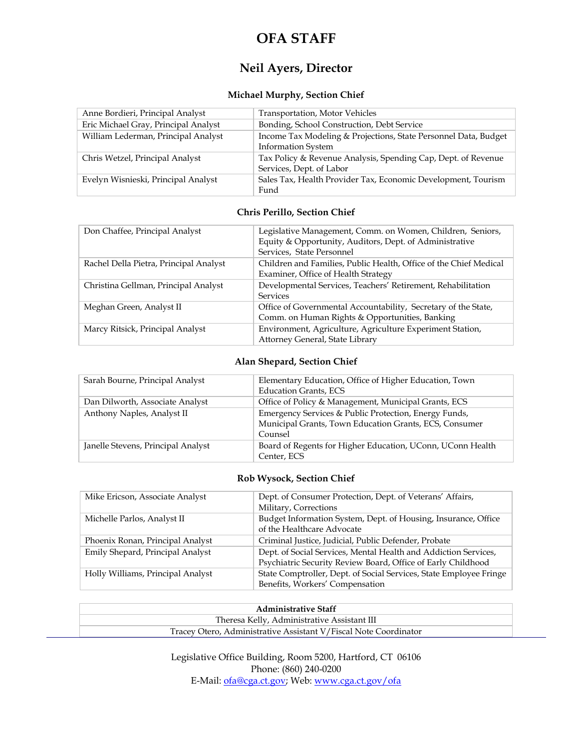# **OFA STAFF**

# **Neil Ayers, Director**

#### **Michael Murphy, Section Chief**

| Anne Bordieri, Principal Analyst     | Transportation, Motor Vehicles                                                               |
|--------------------------------------|----------------------------------------------------------------------------------------------|
| Eric Michael Gray, Principal Analyst | Bonding, School Construction, Debt Service                                                   |
| William Lederman, Principal Analyst  | Income Tax Modeling & Projections, State Personnel Data, Budget<br><b>Information System</b> |
| Chris Wetzel, Principal Analyst      | Tax Policy & Revenue Analysis, Spending Cap, Dept. of Revenue<br>Services, Dept. of Labor    |
| Evelyn Wisnieski, Principal Analyst  | Sales Tax, Health Provider Tax, Economic Development, Tourism<br>Fund                        |

#### **Chris Perillo, Section Chief**

| Don Chaffee, Principal Analyst         | Legislative Management, Comm. on Women, Children, Seniors,        |
|----------------------------------------|-------------------------------------------------------------------|
|                                        | Equity & Opportunity, Auditors, Dept. of Administrative           |
|                                        | Services, State Personnel                                         |
| Rachel Della Pietra, Principal Analyst | Children and Families, Public Health, Office of the Chief Medical |
|                                        | Examiner, Office of Health Strategy                               |
| Christina Gellman, Principal Analyst   | Developmental Services, Teachers' Retirement, Rehabilitation      |
|                                        | <b>Services</b>                                                   |
| Meghan Green, Analyst II               | Office of Governmental Accountability, Secretary of the State,    |
|                                        | Comm. on Human Rights & Opportunities, Banking                    |
| Marcy Ritsick, Principal Analyst       | Environment, Agriculture, Agriculture Experiment Station,         |
|                                        | Attorney General, State Library                                   |

#### **Alan Shepard, Section Chief**

| Sarah Bourne, Principal Analyst    | Elementary Education, Office of Higher Education, Town     |
|------------------------------------|------------------------------------------------------------|
|                                    | <b>Education Grants, ECS</b>                               |
| Dan Dilworth, Associate Analyst    | Office of Policy & Management, Municipal Grants, ECS       |
| Anthony Naples, Analyst II         | Emergency Services & Public Protection, Energy Funds,      |
|                                    | Municipal Grants, Town Education Grants, ECS, Consumer     |
|                                    | Counsel                                                    |
| Janelle Stevens, Principal Analyst | Board of Regents for Higher Education, UConn, UConn Health |
|                                    | Center, ECS                                                |

#### **Rob Wysock, Section Chief**

| Mike Ericson, Associate Analyst   | Dept. of Consumer Protection, Dept. of Veterans' Affairs,          |
|-----------------------------------|--------------------------------------------------------------------|
|                                   | Military, Corrections                                              |
| Michelle Parlos, Analyst II       | Budget Information System, Dept. of Housing, Insurance, Office     |
|                                   | of the Healthcare Advocate                                         |
| Phoenix Ronan, Principal Analyst  | Criminal Justice, Judicial, Public Defender, Probate               |
| Emily Shepard, Principal Analyst  | Dept. of Social Services, Mental Health and Addiction Services,    |
|                                   | Psychiatric Security Review Board, Office of Early Childhood       |
| Holly Williams, Principal Analyst | State Comptroller, Dept. of Social Services, State Employee Fringe |
|                                   | Benefits, Workers' Compensation                                    |

| <b>Administrative Staff</b>                                      |
|------------------------------------------------------------------|
| Theresa Kelly, Administrative Assistant III                      |
| Tracey Otero, Administrative Assistant V/Fiscal Note Coordinator |

Legislative Office Building, Room 5200, Hartford, CT 06106 Phone: (860) 240-0200 E-Mail[: ofa@cga.ct.gov;](mailto:ofa@cga.ct.gov) Web[: www.cga.ct.gov/ofa](http://www.cga.ct.gov/ofa)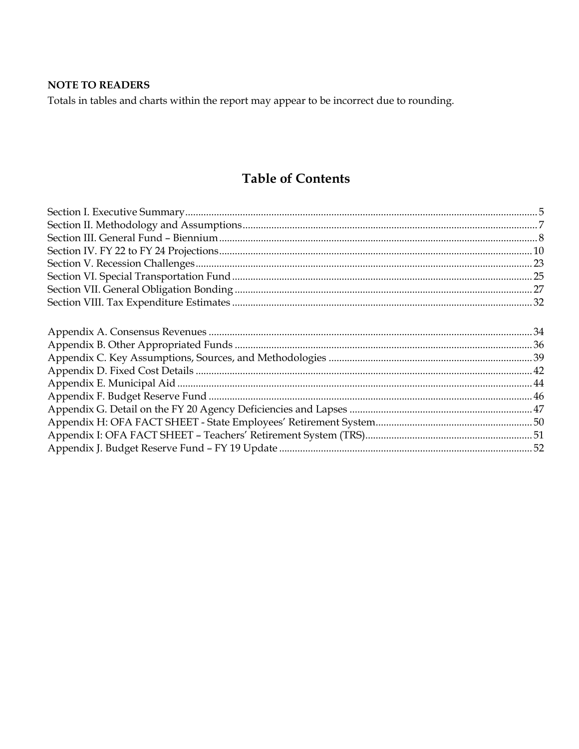# **NOTE TO READERS**

Totals in tables and charts within the report may appear to be incorrect due to rounding.

# **Table of Contents**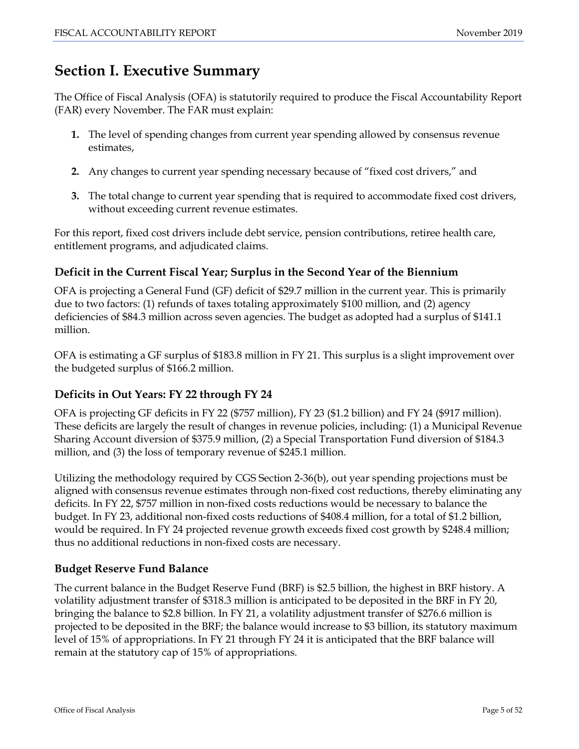# <span id="page-4-0"></span>**Section I. Executive Summary**

The Office of Fiscal Analysis (OFA) is statutorily required to produce the Fiscal Accountability Report (FAR) every November. The FAR must explain:

- **1.** The level of spending changes from current year spending allowed by consensus revenue estimates,
- **2.** Any changes to current year spending necessary because of "fixed cost drivers," and
- **3.** The total change to current year spending that is required to accommodate fixed cost drivers, without exceeding current revenue estimates.

For this report, fixed cost drivers include debt service, pension contributions, retiree health care, entitlement programs, and adjudicated claims.

# **Deficit in the Current Fiscal Year; Surplus in the Second Year of the Biennium**

OFA is projecting a General Fund (GF) deficit of \$29.7 million in the current year. This is primarily due to two factors: (1) refunds of taxes totaling approximately \$100 million, and (2) agency deficiencies of \$84.3 million across seven agencies. The budget as adopted had a surplus of \$141.1 million.

OFA is estimating a GF surplus of \$183.8 million in FY 21. This surplus is a slight improvement over the budgeted surplus of \$166.2 million.

# **Deficits in Out Years: FY 22 through FY 24**

OFA is projecting GF deficits in FY 22 (\$757 million), FY 23 (\$1.2 billion) and FY 24 (\$917 million). These deficits are largely the result of changes in revenue policies, including: (1) a Municipal Revenue Sharing Account diversion of \$375.9 million, (2) a Special Transportation Fund diversion of \$184.3 million, and (3) the loss of temporary revenue of \$245.1 million.

Utilizing the methodology required by CGS Section 2-36(b), out year spending projections must be aligned with consensus revenue estimates through non-fixed cost reductions, thereby eliminating any deficits. In FY 22, \$757 million in non-fixed costs reductions would be necessary to balance the budget. In FY 23, additional non-fixed costs reductions of \$408.4 million, for a total of \$1.2 billion, would be required. In FY 24 projected revenue growth exceeds fixed cost growth by \$248.4 million; thus no additional reductions in non-fixed costs are necessary.

# **Budget Reserve Fund Balance**

The current balance in the Budget Reserve Fund (BRF) is \$2.5 billion, the highest in BRF history. A volatility adjustment transfer of \$318.3 million is anticipated to be deposited in the BRF in FY 20, bringing the balance to \$2.8 billion. In FY 21, a volatility adjustment transfer of \$276.6 million is projected to be deposited in the BRF; the balance would increase to \$3 billion, its statutory maximum level of 15% of appropriations. In FY 21 through FY 24 it is anticipated that the BRF balance will remain at the statutory cap of 15% of appropriations.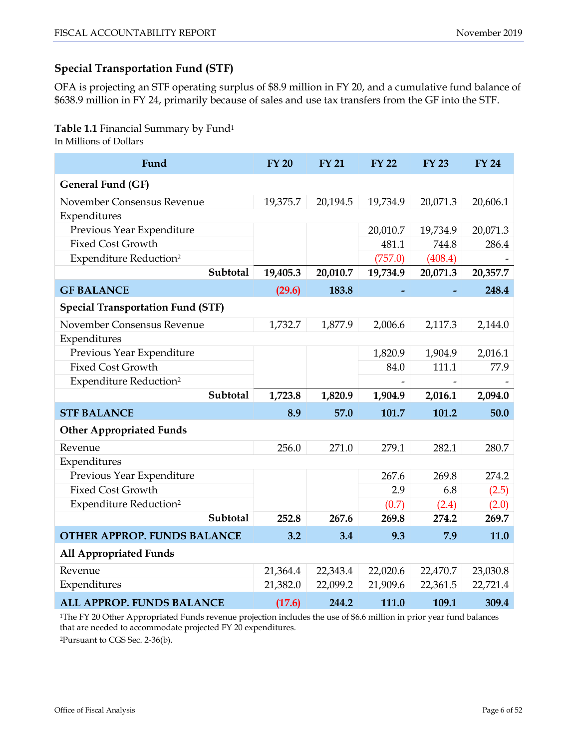# **Special Transportation Fund (STF)**

OFA is projecting an STF operating surplus of \$8.9 million in FY 20, and a cumulative fund balance of \$638.9 million in FY 24, primarily because of sales and use tax transfers from the GF into the STF.

# **Table 1.1** Financial Summary by Fund1

In Millions of Dollars

| Fund                                     | <b>FY 20</b> | <b>FY 21</b> | <b>FY 22</b> | <b>FY 23</b> | <b>FY 24</b> |
|------------------------------------------|--------------|--------------|--------------|--------------|--------------|
| <b>General Fund (GF)</b>                 |              |              |              |              |              |
| November Consensus Revenue               | 19,375.7     | 20,194.5     | 19,734.9     | 20,071.3     | 20,606.1     |
| Expenditures                             |              |              |              |              |              |
| Previous Year Expenditure                |              |              | 20,010.7     | 19,734.9     | 20,071.3     |
| <b>Fixed Cost Growth</b>                 |              |              | 481.1        | 744.8        | 286.4        |
| <b>Expenditure Reduction<sup>2</sup></b> |              |              | (757.0)      | (408.4)      |              |
| Subtotal                                 | 19,405.3     | 20,010.7     | 19,734.9     | 20,071.3     | 20,357.7     |
| <b>GF BALANCE</b>                        | (29.6)       | 183.8        |              |              | 248.4        |
| <b>Special Transportation Fund (STF)</b> |              |              |              |              |              |
| November Consensus Revenue               | 1,732.7      | 1,877.9      | 2,006.6      | 2,117.3      | 2,144.0      |
| Expenditures                             |              |              |              |              |              |
| Previous Year Expenditure                |              |              | 1,820.9      | 1,904.9      | 2,016.1      |
| <b>Fixed Cost Growth</b>                 |              |              | 84.0         | 111.1        | 77.9         |
| <b>Expenditure Reduction<sup>2</sup></b> |              |              |              |              |              |
| Subtotal                                 | 1,723.8      | 1,820.9      | 1,904.9      | 2,016.1      | 2,094.0      |
| <b>STF BALANCE</b>                       | 8.9          | 57.0         | 101.7        | 101.2        | 50.0         |
| <b>Other Appropriated Funds</b>          |              |              |              |              |              |
| Revenue                                  | 256.0        | 271.0        | 279.1        | 282.1        | 280.7        |
| Expenditures                             |              |              |              |              |              |
| Previous Year Expenditure                |              |              | 267.6        | 269.8        | 274.2        |
| <b>Fixed Cost Growth</b>                 |              |              | 2.9          | 6.8          | (2.5)        |
| <b>Expenditure Reduction<sup>2</sup></b> |              |              | (0.7)        | (2.4)        | (2.0)        |
| Subtotal                                 | 252.8        | 267.6        | 269.8        | 274.2        | 269.7        |
| <b>OTHER APPROP. FUNDS BALANCE</b>       | 3.2          | 3.4          | 9.3          | 7.9          | 11.0         |
| <b>All Appropriated Funds</b>            |              |              |              |              |              |
| Revenue                                  | 21,364.4     | 22,343.4     | 22,020.6     | 22,470.7     | 23,030.8     |
| Expenditures                             | 21,382.0     | 22,099.2     | 21,909.6     | 22,361.5     | 22,721.4     |
| <b>ALL APPROP. FUNDS BALANCE</b>         | (17.6)       | 244.2        | 111.0        | 109.1        | 309.4        |

1The FY 20 Other Appropriated Funds revenue projection includes the use of \$6.6 million in prior year fund balances that are needed to accommodate projected FY 20 expenditures.

2Pursuant to CGS Sec. 2-36(b).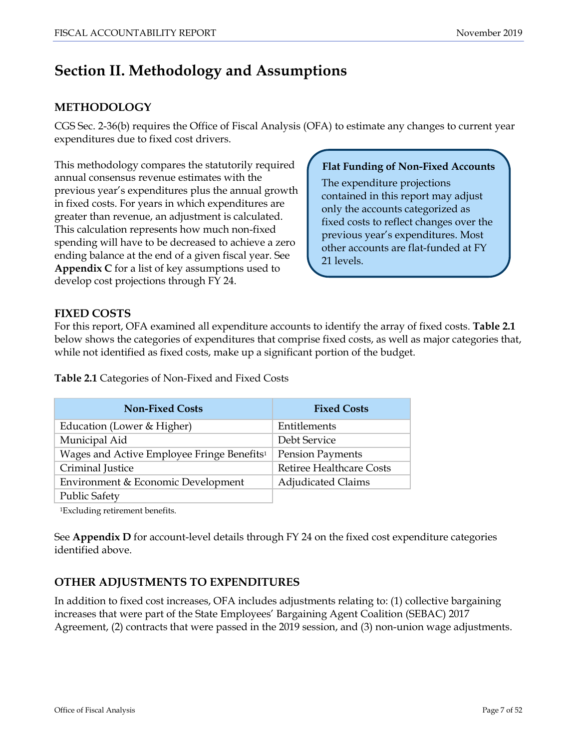# <span id="page-6-0"></span>**Section II. Methodology and Assumptions**

# **METHODOLOGY**

CGS Sec. 2-36(b) requires the Office of Fiscal Analysis (OFA) to estimate any changes to current year expenditures due to fixed cost drivers.

This methodology compares the statutorily required annual consensus revenue estimates with the previous year's expenditures plus the annual growth in fixed costs. For years in which expenditures are greater than revenue, an adjustment is calculated. This calculation represents how much non-fixed spending will have to be decreased to achieve a zero ending balance at the end of a given fiscal year. See **Appendix C** for a list of key assumptions used to develop cost projections through FY 24.

#### **Flat Funding of Non-Fixed Accounts**

The expenditure projections contained in this report may adjust only the accounts categorized as fixed costs to reflect changes over the previous year's expenditures. Most other accounts are flat-funded at FY 21 levels.

## **FIXED COSTS**

For this report, OFA examined all expenditure accounts to identify the array of fixed costs. **Table 2.1** below shows the categories of expenditures that comprise fixed costs, as well as major categories that, while not identified as fixed costs, make up a significant portion of the budget.

**Table 2.1** Categories of Non-Fixed and Fixed Costs

| <b>Non-Fixed Costs</b>                                 | <b>Fixed Costs</b>              |
|--------------------------------------------------------|---------------------------------|
| Education (Lower & Higher)                             | Entitlements                    |
| Municipal Aid                                          | Debt Service                    |
| Wages and Active Employee Fringe Benefits <sup>1</sup> | <b>Pension Payments</b>         |
| Criminal Justice                                       | <b>Retiree Healthcare Costs</b> |
| Environment & Economic Development                     | <b>Adjudicated Claims</b>       |
| <b>Public Safety</b>                                   |                                 |

1Excluding retirement benefits.

See **Appendix D** for account-level details through FY 24 on the fixed cost expenditure categories identified above.

# **OTHER ADJUSTMENTS TO EXPENDITURES**

In addition to fixed cost increases, OFA includes adjustments relating to: (1) collective bargaining increases that were part of the State Employees' Bargaining Agent Coalition (SEBAC) 2017 Agreement, (2) contracts that were passed in the 2019 session, and (3) non-union wage adjustments.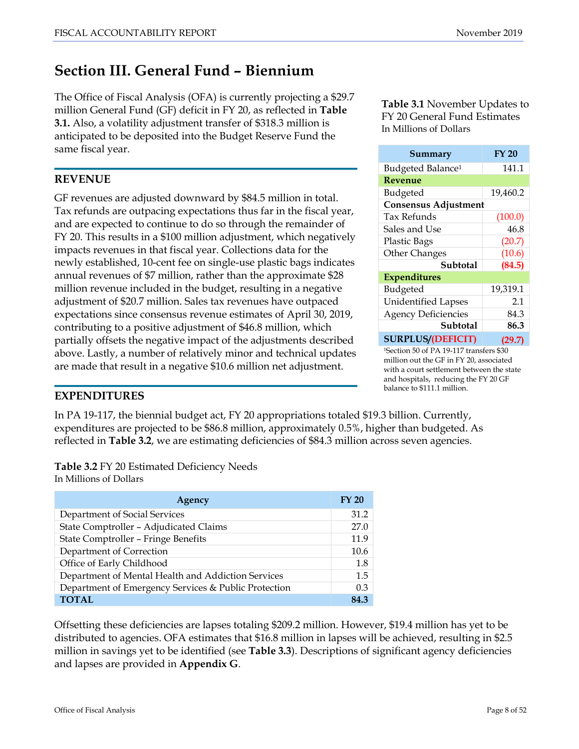# <span id="page-7-0"></span>**Section III. General Fund – Biennium**

The Office of Fiscal Analysis (OFA) is currently projecting a \$29.7 million General Fund (GF) deficit in FY 20, as reflected in **Table 3.1.** Also, a volatility adjustment transfer of \$318.3 million is anticipated to be deposited into the Budget Reserve Fund the same fiscal year.

## **REVENUE**

GF revenues are adjusted downward by \$84.5 million in total. Tax refunds are outpacing expectations thus far in the fiscal year, and are expected to continue to do so through the remainder of FY 20. This results in a \$100 million adjustment, which negatively impacts revenues in that fiscal year. Collections data for the newly established, 10-cent fee on single-use plastic bags indicates annual revenues of \$7 million, rather than the approximate \$28 million revenue included in the budget, resulting in a negative adjustment of \$20.7 million. Sales tax revenues have outpaced expectations since consensus revenue estimates of April 30, 2019, contributing to a positive adjustment of \$46.8 million, which partially offsets the negative impact of the adjustments described above. Lastly, a number of relatively minor and technical updates are made that result in a negative \$10.6 million net adjustment.

**Table 3.1** November Updates to FY 20 General Fund Estimates In Millions of Dollars

| Summary                                             | <b>FY 20</b> |  |  |
|-----------------------------------------------------|--------------|--|--|
| Budgeted Balance <sup>1</sup>                       | 141.1        |  |  |
| Revenue                                             |              |  |  |
| Budgeted                                            | 19,460.2     |  |  |
| <b>Consensus Adjustment</b>                         |              |  |  |
| Tax Refunds                                         | (100.0)      |  |  |
| Sales and Use                                       | 46.8         |  |  |
| <b>Plastic Bags</b>                                 | (20.7)       |  |  |
| <b>Other Changes</b>                                | (10.6)       |  |  |
| Subtotal                                            | (84.5)       |  |  |
| <b>Expenditures</b>                                 |              |  |  |
| Budgeted                                            | 19,319.1     |  |  |
| <b>Unidentified Lapses</b>                          | 2.1          |  |  |
| <b>Agency Deficiencies</b>                          | 84.3         |  |  |
| Subtotal                                            | 86.3         |  |  |
| <b>SURPLUS/(DEFICIT)</b>                            | (29.7)       |  |  |
| <sup>1</sup> Section 50 of PA 19-117 transfers \$30 |              |  |  |

1Section 50 of PA 19-117 transfers \$30 million out the GF in FY 20, associated with a court settlement between the state and hospitals, reducing the FY 20 GF balance to \$111.1 million.

# **EXPENDITURES**

In PA 19-117, the biennial budget act, FY 20 appropriations totaled \$19.3 billion. Currently, expenditures are projected to be \$86.8 million, approximately 0.5%, higher than budgeted. As reflected in **Table 3.2**, we are estimating deficiencies of \$84.3 million across seven agencies.

**Table 3.2** FY 20 Estimated Deficiency Needs In Millions of Dollars

| Agency                                               | FY 20 |
|------------------------------------------------------|-------|
| Department of Social Services                        | 31.2  |
| State Comptroller - Adjudicated Claims               | 27.0  |
| State Comptroller - Fringe Benefits                  | 11.9  |
| Department of Correction                             | 10.6  |
| Office of Early Childhood                            | 1.8   |
| Department of Mental Health and Addiction Services   | 1.5   |
| Department of Emergency Services & Public Protection | 0.3   |
| <b>TOTAL</b>                                         | 84.3  |

Offsetting these deficiencies are lapses totaling \$209.2 million. However, \$19.4 million has yet to be distributed to agencies. OFA estimates that \$16.8 million in lapses will be achieved, resulting in \$2.5 million in savings yet to be identified (see **Table 3.3**). Descriptions of significant agency deficiencies and lapses are provided in **Appendix G**.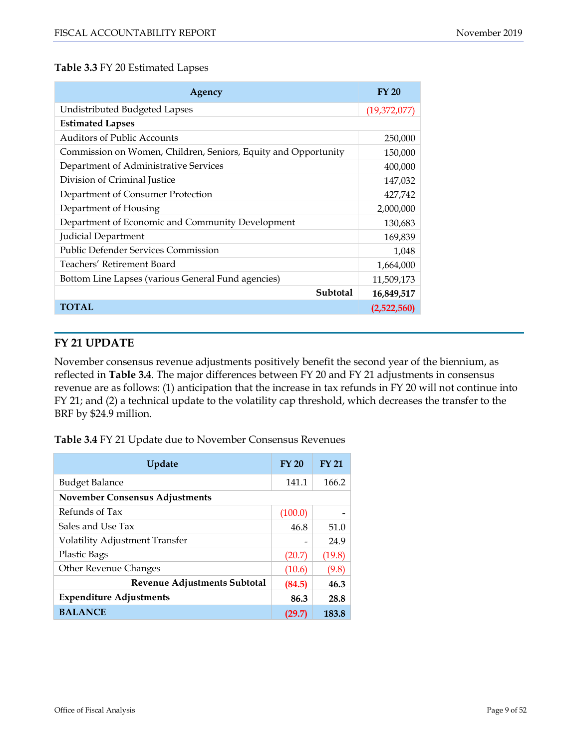#### **Table 3.3** FY 20 Estimated Lapses

| Agency                                                         | <b>FY 20</b> |
|----------------------------------------------------------------|--------------|
| Undistributed Budgeted Lapses                                  | (19,372,077) |
| <b>Estimated Lapses</b>                                        |              |
| Auditors of Public Accounts                                    | 250,000      |
| Commission on Women, Children, Seniors, Equity and Opportunity | 150,000      |
| Department of Administrative Services                          | 400,000      |
| Division of Criminal Justice                                   | 147,032      |
| Department of Consumer Protection                              | 427,742      |
| Department of Housing                                          | 2,000,000    |
| Department of Economic and Community Development               | 130,683      |
| Judicial Department                                            | 169,839      |
| <b>Public Defender Services Commission</b>                     | 1,048        |
| Teachers' Retirement Board                                     | 1,664,000    |
| Bottom Line Lapses (various General Fund agencies)             | 11,509,173   |
| Subtotal                                                       | 16,849,517   |
| <b>TOTAL</b>                                                   | (2,522,560)  |

# **FY 21 UPDATE**

November consensus revenue adjustments positively benefit the second year of the biennium, as reflected in **Table 3.4**. The major differences between FY 20 and FY 21 adjustments in consensus revenue are as follows: (1) anticipation that the increase in tax refunds in FY 20 will not continue into FY 21; and (2) a technical update to the volatility cap threshold, which decreases the transfer to the BRF by \$24.9 million.

**Table 3.4** FY 21 Update due to November Consensus Revenues

| Update                                | <b>FY 20</b> | <b>FY 21</b> |  |
|---------------------------------------|--------------|--------------|--|
| <b>Budget Balance</b>                 | 141.1        | 166.2        |  |
| <b>November Consensus Adjustments</b> |              |              |  |
| Refunds of Tax                        | (100.0)      |              |  |
| Sales and Use Tax                     | 46.8         | 51.0         |  |
| <b>Volatility Adjustment Transfer</b> |              | 24.9         |  |
| <b>Plastic Bags</b>                   | (20.7)       | (19.8)       |  |
| <b>Other Revenue Changes</b>          | (10.6)       | (9.8)        |  |
| Revenue Adjustments Subtotal          | (84.5)       | 46.3         |  |
| <b>Expenditure Adjustments</b>        | 86.3         | 28.8         |  |
| <b>BALANCE</b>                        | (29.7)       | 183.8        |  |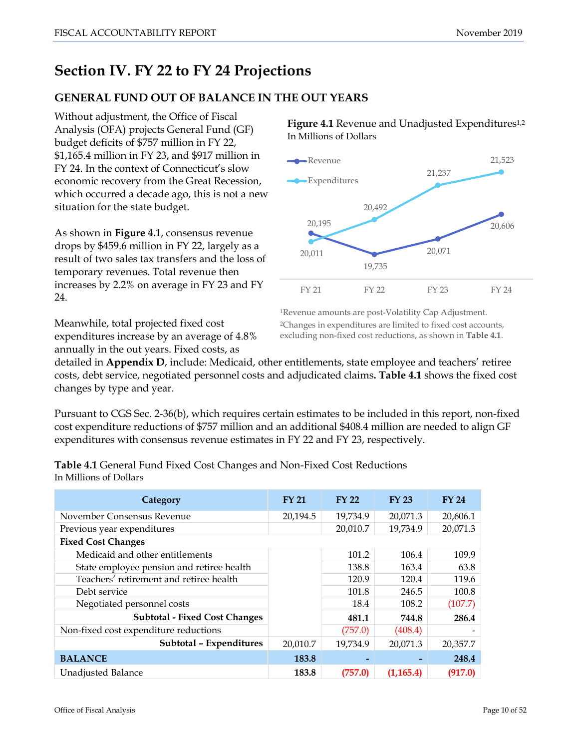# <span id="page-9-0"></span>**Section IV. FY 22 to FY 24 Projections**

# **GENERAL FUND OUT OF BALANCE IN THE OUT YEARS**

Without adjustment, the Office of Fiscal Analysis (OFA) projects General Fund (GF) budget deficits of \$757 million in FY 22, \$1,165.4 million in FY 23, and \$917 million in FY 24. In the context of Connecticut's slow economic recovery from the Great Recession, which occurred a decade ago, this is not a new situation for the state budget.

As shown in **Figure 4.1**, consensus revenue drops by \$459.6 million in FY 22, largely as a result of two sales tax transfers and the loss of temporary revenues. Total revenue then increases by 2.2% on average in FY 23 and FY 24.

Figure 4.1 Revenue and Unadjusted Expenditures<sup>1,2</sup> In Millions of Dollars



1Revenue amounts are post-Volatility Cap Adjustment. 2Changes in expenditures are limited to fixed cost accounts, excluding non-fixed cost reductions, as shown in **Table 4.1**.

Meanwhile, total projected fixed cost expenditures increase by an average of 4.8% annually in the out years. Fixed costs, as

detailed in **Appendix D**, include: Medicaid, other entitlements, state employee and teachers' retiree costs, debt service, negotiated personnel costs and adjudicated claims**. Table 4.1** shows the fixed cost changes by type and year.

Pursuant to CGS Sec. 2-36(b), which requires certain estimates to be included in this report, non-fixed cost expenditure reductions of \$757 million and an additional \$408.4 million are needed to align GF expenditures with consensus revenue estimates in FY 22 and FY 23, respectively.

| Category                                  | <b>FY 21</b> | <b>FY 22</b> | <b>FY 23</b> | <b>FY 24</b> |
|-------------------------------------------|--------------|--------------|--------------|--------------|
| November Consensus Revenue                | 20,194.5     | 19,734.9     | 20,071.3     | 20,606.1     |
| Previous year expenditures                |              | 20,010.7     | 19,734.9     | 20,071.3     |
| <b>Fixed Cost Changes</b>                 |              |              |              |              |
| Medicaid and other entitlements           |              | 101.2        | 106.4        | 109.9        |
| State employee pension and retiree health |              | 138.8        | 163.4        | 63.8         |
| Teachers' retirement and retiree health   |              | 120.9        | 120.4        | 119.6        |
| Debt service                              |              | 101.8        | 246.5        | 100.8        |
| Negotiated personnel costs                |              | 18.4         | 108.2        | (107.7)      |
| <b>Subtotal - Fixed Cost Changes</b>      |              | 481.1        | 744.8        | 286.4        |
| Non-fixed cost expenditure reductions     |              | (757.0)      | (408.4)      |              |
| Subtotal - Expenditures                   | 20,010.7     | 19,734.9     | 20,071.3     | 20,357.7     |
| <b>BALANCE</b>                            | 183.8        |              |              | 248.4        |
| Unadjusted Balance                        | 183.8        | (757.0)      | (1, 165.4)   | (917.0)      |

**Table 4.1** General Fund Fixed Cost Changes and Non-Fixed Cost Reductions In Millions of Dollars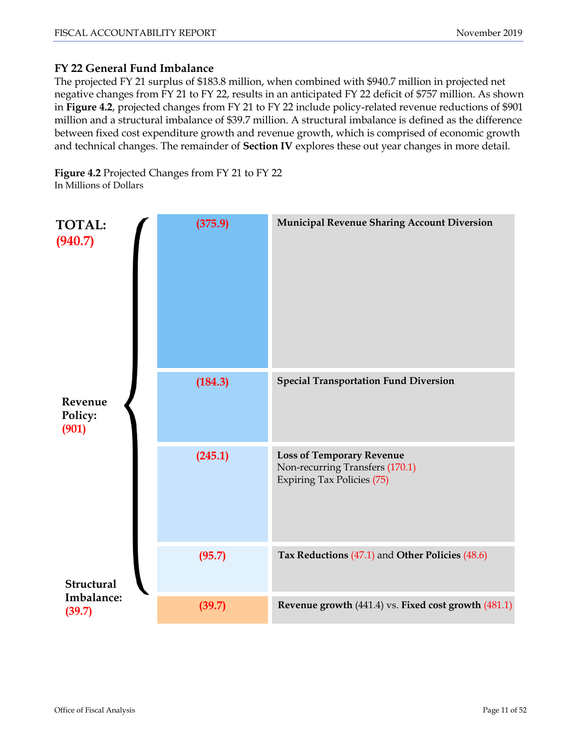# **FY 22 General Fund Imbalance**

The projected FY 21 surplus of \$183.8 million, when combined with \$940.7 million in projected net negative changes from FY 21 to FY 22, results in an anticipated FY 22 deficit of \$757 million. As shown in **Figure 4.2**, projected changes from FY 21 to FY 22 include policy-related revenue reductions of \$901 million and a structural imbalance of \$39.7 million. A structural imbalance is defined as the difference between fixed cost expenditure growth and revenue growth, which is comprised of economic growth and technical changes. The remainder of **Section IV** explores these out year changes in more detail.

**Figure 4.2** Projected Changes from FY 21 to FY 22 In Millions of Dollars

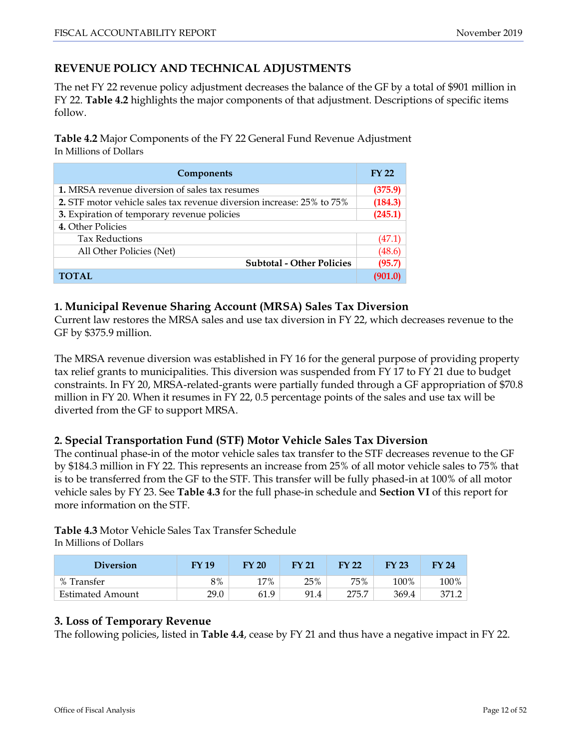# **REVENUE POLICY AND TECHNICAL ADJUSTMENTS**

The net FY 22 revenue policy adjustment decreases the balance of the GF by a total of \$901 million in FY 22. **Table 4.2** highlights the major components of that adjustment. Descriptions of specific items follow.

**Table 4.2** Major Components of the FY 22 General Fund Revenue Adjustment In Millions of Dollars

| Components                                                            |         |  |  |  |
|-----------------------------------------------------------------------|---------|--|--|--|
| <b>1.</b> MRSA revenue diversion of sales tax resumes                 | (375.9) |  |  |  |
| 2. STF motor vehicle sales tax revenue diversion increase: 25% to 75% |         |  |  |  |
| 3. Expiration of temporary revenue policies                           |         |  |  |  |
| 4. Other Policies                                                     |         |  |  |  |
| <b>Tax Reductions</b>                                                 | (47.1)  |  |  |  |
| All Other Policies (Net)                                              |         |  |  |  |
| <b>Subtotal - Other Policies</b>                                      | (95.7)  |  |  |  |
| <b>TOTAL</b>                                                          | (901.0) |  |  |  |

#### **1. Municipal Revenue Sharing Account (MRSA) Sales Tax Diversion**

Current law restores the MRSA sales and use tax diversion in FY 22, which decreases revenue to the GF by \$375.9 million.

The MRSA revenue diversion was established in FY 16 for the general purpose of providing property tax relief grants to municipalities. This diversion was suspended from FY 17 to FY 21 due to budget constraints. In FY 20, MRSA-related-grants were partially funded through a GF appropriation of \$70.8 million in FY 20. When it resumes in FY 22, 0.5 percentage points of the sales and use tax will be diverted from the GF to support MRSA.

#### **2. Special Transportation Fund (STF) Motor Vehicle Sales Tax Diversion**

The continual phase-in of the motor vehicle sales tax transfer to the STF decreases revenue to the GF by \$184.3 million in FY 22. This represents an increase from 25% of all motor vehicle sales to 75% that is to be transferred from the GF to the STF. This transfer will be fully phased-in at 100% of all motor vehicle sales by FY 23. See **Table 4.3** for the full phase-in schedule and **Section VI** of this report for more information on the STF.

**Table 4.3** Motor Vehicle Sales Tax Transfer Schedule In Millions of Dollars

| <b>Diversion</b>        | FY 19 | <b>FY 20</b> | <b>FY 21</b> | <b>FY 22</b> | <b>FY 23</b> | FY 24 |
|-------------------------|-------|--------------|--------------|--------------|--------------|-------|
| % Transfer              | 8%    | 17%          | 25%          | 75%          | 100%         | 100%  |
| <b>Estimated Amount</b> | 29.0  | 61.9         | 91.4         | 275.7        | 369.4        |       |

# **3. Loss of Temporary Revenue**

The following policies, listed in **Table 4.4**, cease by FY 21 and thus have a negative impact in FY 22.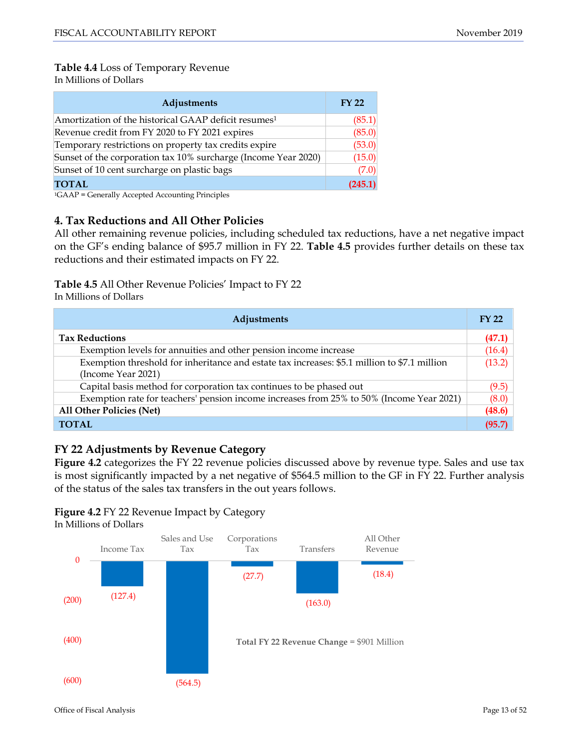# **Table 4.4** Loss of Temporary Revenue

In Millions of Dollars

| Adjustments                                                      | <b>FY 22</b> |
|------------------------------------------------------------------|--------------|
| Amortization of the historical GAAP deficit resumes <sup>1</sup> | (85.1)       |
| Revenue credit from FY 2020 to FY 2021 expires                   | (85.0)       |
| Temporary restrictions on property tax credits expire            | (53.0)       |
| Sunset of the corporation tax 10% surcharge (Income Year 2020)   | (15.0)       |
| Sunset of 10 cent surcharge on plastic bags                      | (7.0)        |
| <b>TOTAL</b>                                                     | (245.1)      |

1GAAP = Generally Accepted Accounting Principles

#### **4. Tax Reductions and All Other Policies**

All other remaining revenue policies, including scheduled tax reductions, have a net negative impact on the GF's ending balance of \$95.7 million in FY 22. **Table 4.5** provides further details on these tax reductions and their estimated impacts on FY 22.

#### **Table 4.5** All Other Revenue Policies' Impact to FY 22

In Millions of Dollars

| Adjustments                                                                                  | <b>FY 22</b> |
|----------------------------------------------------------------------------------------------|--------------|
| <b>Tax Reductions</b>                                                                        | (47.1)       |
| Exemption levels for annuities and other pension income increase                             | (16.4)       |
| Exemption threshold for inheritance and estate tax increases: \$5.1 million to \$7.1 million | (13.2)       |
| (Income Year 2021)                                                                           |              |
| Capital basis method for corporation tax continues to be phased out                          | (9.5)        |
| Exemption rate for teachers' pension income increases from 25% to 50% (Income Year 2021)     | (8.0)        |
| <b>All Other Policies (Net)</b>                                                              | (48.6)       |
| <b>TOTAL</b>                                                                                 | (95.7)       |

# **FY 22 Adjustments by Revenue Category**

Figure 4.2 categorizes the FY 22 revenue policies discussed above by revenue type. Sales and use tax is most significantly impacted by a net negative of \$564.5 million to the GF in FY 22. Further analysis of the status of the sales tax transfers in the out years follows.





Office of Fiscal Analysis Page 13 of 52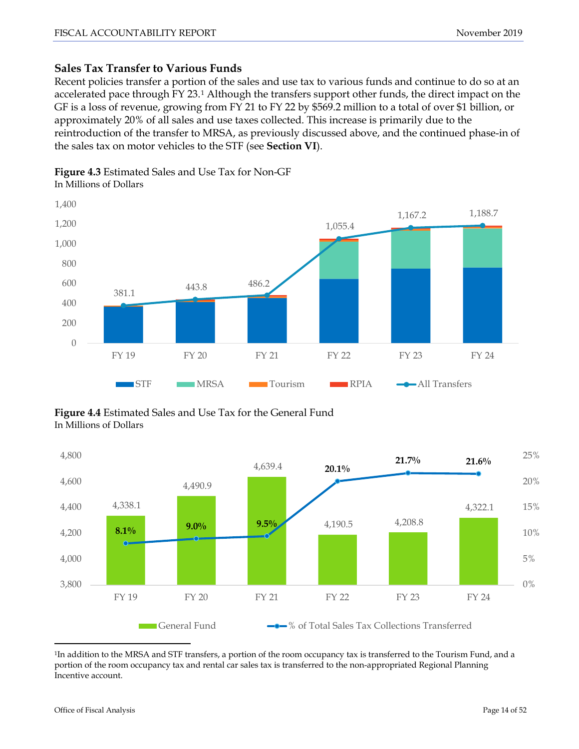# **Sales Tax Transfer to Various Funds**

Recent policies transfer a portion of the sales and use tax to various funds and continue to do so at an accelerated pace through FY 23.[1](#page-0-0) Although the transfers support other funds, the direct impact on the GF is a loss of revenue, growing from FY 21 to FY 22 by \$569.2 million to a total of over \$1 billion, or approximately 20% of all sales and use taxes collected. This increase is primarily due to the reintroduction of the transfer to MRSA, as previously discussed above, and the continued phase-in of the sales tax on motor vehicles to the STF (see **Section VI**).

# **Figure 4.3** Estimated Sales and Use Tax for Non-GF

In Millions of Dollars



**Figure 4.4** Estimated Sales and Use Tax for the General Fund In Millions of Dollars



<span id="page-13-0"></span> <sup>1</sup>In addition to the MRSA and STF transfers, a portion of the room occupancy tax is transferred to the Tourism Fund, and a portion of the room occupancy tax and rental car sales tax is transferred to the non-appropriated Regional Planning Incentive account.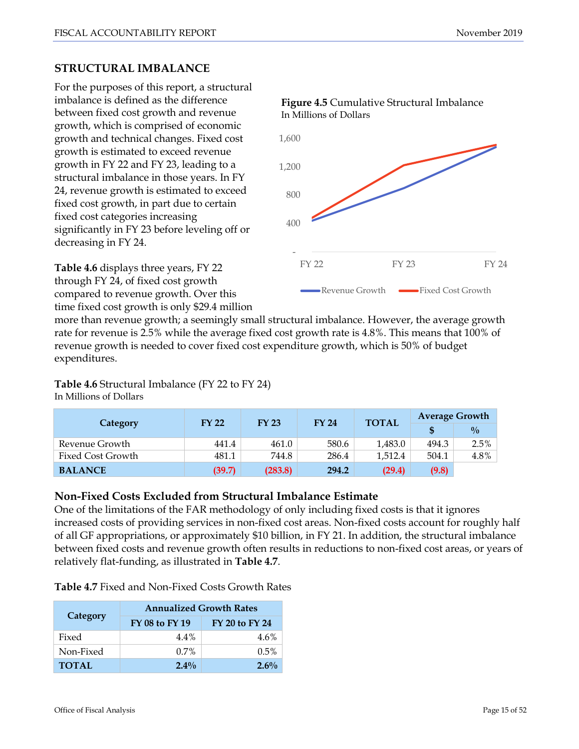# **STRUCTURAL IMBALANCE**

For the purposes of this report, a structural imbalance is defined as the difference between fixed cost growth and revenue growth, which is comprised of economic growth and technical changes. Fixed cost growth is estimated to exceed revenue growth in FY 22 and FY 23, leading to a structural imbalance in those years. In FY 24, revenue growth is estimated to exceed fixed cost growth, in part due to certain fixed cost categories increasing significantly in FY 23 before leveling off or decreasing in FY 24.

**Table 4.6** displays three years, FY 22 through FY 24, of fixed cost growth compared to revenue growth. Over this time fixed cost growth is only \$29.4 million



**Figure 4.5** Cumulative Structural Imbalance

## more than revenue growth; a seemingly small structural imbalance. However, the average growth rate for revenue is 2.5% while the average fixed cost growth rate is 4.8%. This means that 100% of revenue growth is needed to cover fixed cost expenditure growth, which is 50% of budget expenditures.

# **Table 4.6** Structural Imbalance (FY 22 to FY 24)

In Millions of Dollars

|                          | <b>FY 22</b> | <b>FY 23</b> | <b>FY 24</b> | <b>TOTAL</b> | <b>Average Growth</b> |               |  |
|--------------------------|--------------|--------------|--------------|--------------|-----------------------|---------------|--|
| Category                 |              |              |              |              |                       | $\frac{0}{0}$ |  |
| Revenue Growth           | 441.4        | 461.0        | 580.6        | 1,483.0      | 494.3                 | 2.5%          |  |
| <b>Fixed Cost Growth</b> | 481.1        | 744.8        | 286.4        | 1,512.4      | 504.1                 | 4.8%          |  |
| <b>BALANCE</b>           | (39.7)       | (283.8)      | 294.2        | (29.4)       | (9.8)                 |               |  |

# **Non-Fixed Costs Excluded from Structural Imbalance Estimate**

One of the limitations of the FAR methodology of only including fixed costs is that it ignores increased costs of providing services in non-fixed cost areas. Non-fixed costs account for roughly half of all GF appropriations, or approximately \$10 billion, in FY 21. In addition, the structural imbalance between fixed costs and revenue growth often results in reductions to non-fixed cost areas, or years of relatively flat-funding, as illustrated in **Table 4.7**.

|           | <b>Annualized Growth Rates</b><br>FY 20 to FY 24<br>FY 08 to FY 19 |         |  |  |  |
|-----------|--------------------------------------------------------------------|---------|--|--|--|
| Category  |                                                                    |         |  |  |  |
| Fixed     | 4.4%                                                               | 4.6%    |  |  |  |
| Non-Fixed | $0.7\%$                                                            | $0.5\%$ |  |  |  |
| TOTAL     | $2.4\%$                                                            | $2.6\%$ |  |  |  |

**Table 4.7** Fixed and Non-Fixed Costs Growth Rates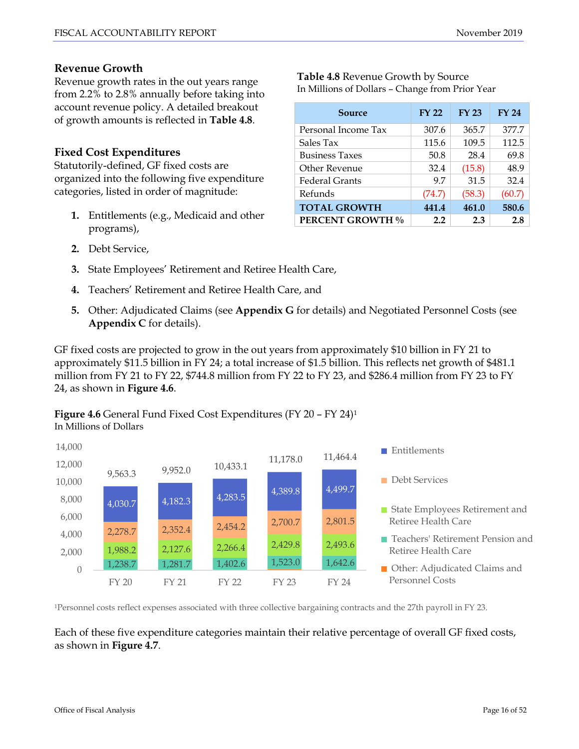## **Revenue Growth**

Revenue growth rates in the out years range from 2.2% to 2.8% annually before taking into account revenue policy. A detailed breakout of growth amounts is reflected in **Table 4.8**.

## **Fixed Cost Expenditures**

Statutorily-defined, GF fixed costs are organized into the following five expenditure categories, listed in order of magnitude:

**1.** Entitlements (e.g., Medicaid and other programs),

**Table 4.8** Revenue Growth by Source In Millions of Dollars – Change from Prior Year

| Source                  | <b>FY 22</b> | <b>FY 23</b> | <b>FY 24</b> |
|-------------------------|--------------|--------------|--------------|
| Personal Income Tax     | 307.6        | 365.7        | 377.7        |
| Sales Tax               | 115.6        | 109.5        | 112.5        |
| <b>Business Taxes</b>   | 50.8         | 28.4         | 69.8         |
| Other Revenue           | 32.4         | (15.8)       | 48.9         |
| <b>Federal Grants</b>   | 9.7          | 31.5         | 32.4         |
| Refunds                 | (74.7)       | (58.3)       | (60.7)       |
| <b>TOTAL GROWTH</b>     | 441.4        | 461.0        | 580.6        |
| <b>PERCENT GROWTH %</b> | 2.2          | 2.3          | 2.8          |

- **2.** Debt Service,
- **3.** State Employees' Retirement and Retiree Health Care,
- **4.** Teachers' Retirement and Retiree Health Care, and
- **5.** Other: Adjudicated Claims (see **Appendix G** for details) and Negotiated Personnel Costs (see **Appendix C** for details).

GF fixed costs are projected to grow in the out years from approximately \$10 billion in FY 21 to approximately \$11.5 billion in FY 24; a total increase of \$1.5 billion. This reflects net growth of \$481.1 million from FY 21 to FY 22, \$744.8 million from FY 22 to FY 23, and \$286.4 million from FY 23 to FY 24, as shown in **Figure 4.6**.

#### **Figure 4.6** General Fund Fixed Cost Expenditures (FY 20 – FY 24)1 In Millions of Dollars



1Personnel costs reflect expenses associated with three collective bargaining contracts and the 27th payroll in FY 23.

Each of these five expenditure categories maintain their relative percentage of overall GF fixed costs, as shown in **Figure 4.7**.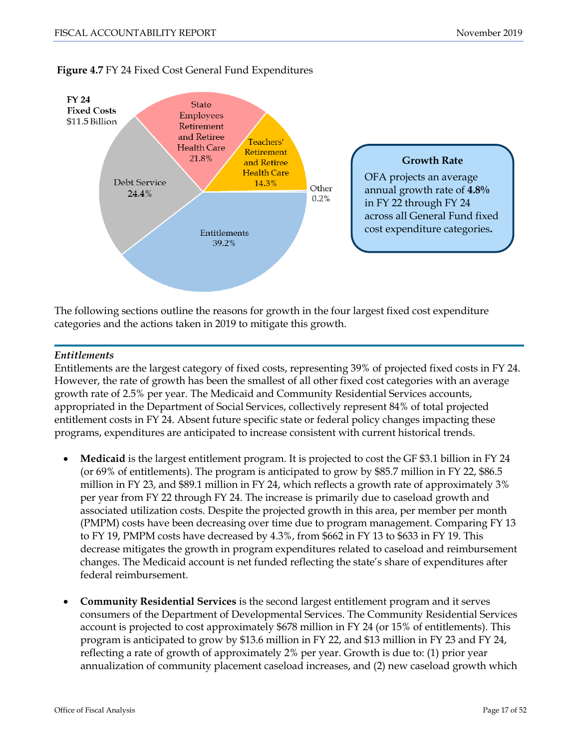

#### **Figure 4.7** FY 24 Fixed Cost General Fund Expenditures

The following sections outline the reasons for growth in the four largest fixed cost expenditure categories and the actions taken in 2019 to mitigate this growth.

#### *Entitlements*

Entitlements are the largest category of fixed costs, representing 39% of projected fixed costs in FY 24. However, the rate of growth has been the smallest of all other fixed cost categories with an average growth rate of 2.5% per year. The Medicaid and Community Residential Services accounts, appropriated in the Department of Social Services, collectively represent 84% of total projected entitlement costs in FY 24. Absent future specific state or federal policy changes impacting these programs, expenditures are anticipated to increase consistent with current historical trends.

- **Medicaid** is the largest entitlement program. It is projected to cost the GF \$3.1 billion in FY 24 (or 69% of entitlements). The program is anticipated to grow by \$85.7 million in FY 22, \$86.5 million in FY 23, and \$89.1 million in FY 24, which reflects a growth rate of approximately 3% per year from FY 22 through FY 24. The increase is primarily due to caseload growth and associated utilization costs. Despite the projected growth in this area, per member per month (PMPM) costs have been decreasing over time due to program management. Comparing FY 13 to FY 19, PMPM costs have decreased by 4.3%, from \$662 in FY 13 to \$633 in FY 19. This decrease mitigates the growth in program expenditures related to caseload and reimbursement changes. The Medicaid account is net funded reflecting the state's share of expenditures after federal reimbursement.
- **Community Residential Services** is the second largest entitlement program and it serves consumers of the Department of Developmental Services. The Community Residential Services account is projected to cost approximately \$678 million in FY 24 (or 15% of entitlements). This program is anticipated to grow by \$13.6 million in FY 22, and \$13 million in FY 23 and FY 24, reflecting a rate of growth of approximately 2% per year. Growth is due to: (1) prior year annualization of community placement caseload increases, and (2) new caseload growth which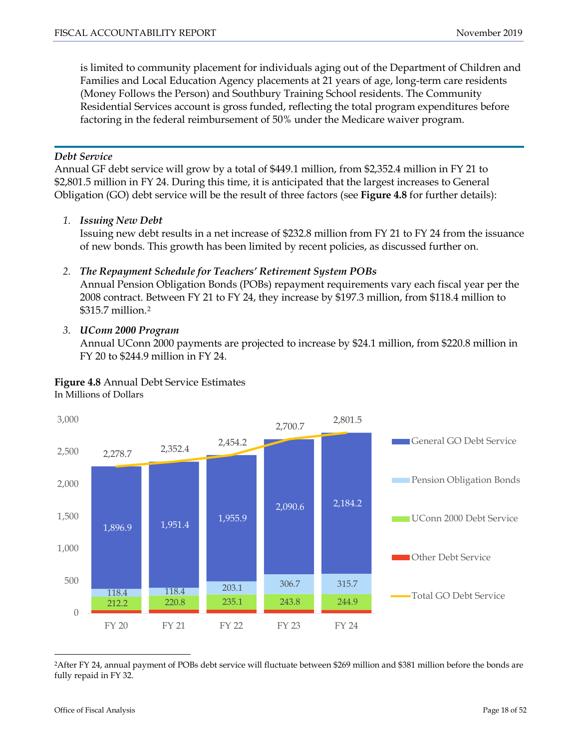is limited to community placement for individuals aging out of the Department of Children and Families and Local Education Agency placements at 21 years of age, long-term care residents (Money Follows the Person) and Southbury Training School residents. The Community Residential Services account is gross funded, reflecting the total program expenditures before factoring in the federal reimbursement of 50% under the Medicare waiver program.

#### *Debt Service*

Annual GF debt service will grow by a total of \$449.1 million, from \$2,352.4 million in FY 21 to \$2,801.5 million in FY 24. During this time, it is anticipated that the largest increases to General Obligation (GO) debt service will be the result of three factors (see **Figure 4.8** for further details):

*1. Issuing New Debt*

Issuing new debt results in a net increase of \$232.8 million from FY 21 to FY 24 from the issuance of new bonds. This growth has been limited by recent policies, as discussed further on.

#### *2. The Repayment Schedule for Teachers' Retirement System POBs*

Annual Pension Obligation Bonds (POBs) repayment requirements vary each fiscal year per the 2008 contract. Between FY 21 to FY 24, they increase by \$197.3 million, from \$118.4 million to \$315.7 million.[2](#page-13-0)

#### *3. UConn 2000 Program*

Annual UConn 2000 payments are projected to increase by \$24.1 million, from \$220.8 million in FY 20 to \$244.9 million in FY 24.

#### **Figure 4.8** Annual Debt Service Estimates In Millions of Dollars



<span id="page-17-0"></span> 2After FY 24, annual payment of POBs debt service will fluctuate between \$269 million and \$381 million before the bonds are fully repaid in FY 32.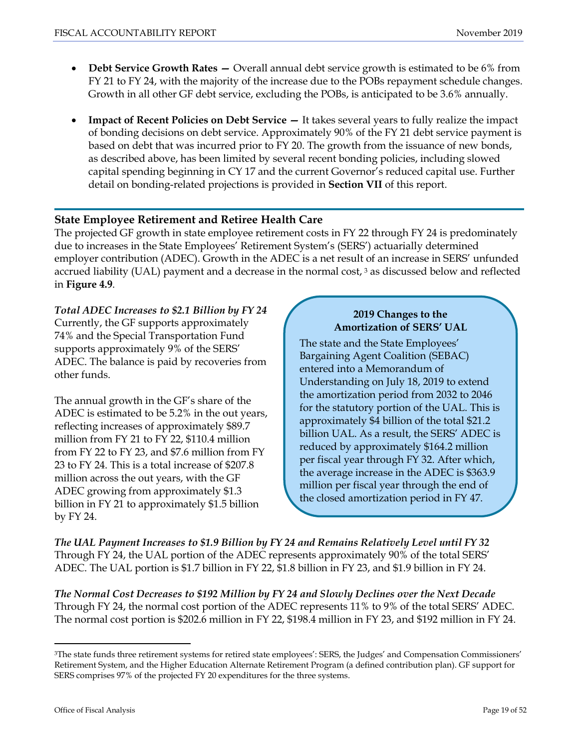- **Debt Service Growth Rates** *—* Overall annual debt service growth is estimated to be 6% from FY 21 to FY 24, with the majority of the increase due to the POBs repayment schedule changes. Growth in all other GF debt service, excluding the POBs, is anticipated to be 3.6% annually.
- **Impact of Recent Policies on Debt Service –** It takes several years to fully realize the impact of bonding decisions on debt service. Approximately 90% of the FY 21 debt service payment is based on debt that was incurred prior to FY 20. The growth from the issuance of new bonds, as described above, has been limited by several recent bonding policies, including slowed capital spending beginning in CY 17 and the current Governor's reduced capital use. Further detail on bonding-related projections is provided in **Section VII** of this report.

## **State Employee Retirement and Retiree Health Care**

The projected GF growth in state employee retirement costs in FY 22 through FY 24 is predominately due to increases in the State Employees' Retirement System's (SERS') actuarially determined employer contribution (ADEC). Growth in the ADEC is a net result of an increase in SERS' unfunded accrued liability (UAL) payment and a decrease in the normal cost, <sup>[3](#page-17-0)</sup> as discussed below and reflected in **Figure 4.9**.

# *Total ADEC Increases to \$2.1 Billion by FY 24*

Currently, the GF supports approximately 74% and the Special Transportation Fund supports approximately 9% of the SERS' ADEC. The balance is paid by recoveries from other funds.

The annual growth in the GF's share of the ADEC is estimated to be 5.2% in the out years, reflecting increases of approximately \$89.7 million from FY 21 to FY 22, \$110.4 million from FY 22 to FY 23, and \$7.6 million from FY 23 to FY 24. This is a total increase of \$207.8 million across the out years, with the GF ADEC growing from approximately \$1.3 billion in FY 21 to approximately \$1.5 billion by FY 24.

## **2019 Changes to the Amortization of SERS' UAL**

The state and the State Employees' Bargaining Agent Coalition (SEBAC) entered into a Memorandum of Understanding on July 18, 2019 to extend the amortization period from 2032 to 2046 for the statutory portion of the UAL. This is approximately \$4 billion of the total \$21.2 billion UAL. As a result, the SERS' ADEC is reduced by approximately \$164.2 million per fiscal year through FY 32. After which, the average increase in the ADEC is \$363.9 million per fiscal year through the end of the closed amortization period in FY 47.

*The UAL Payment Increases to \$1.9 Billion by FY 24 and Remains Relatively Level until FY 32* Through FY 24, the UAL portion of the ADEC represents approximately 90% of the total SERS' ADEC. The UAL portion is \$1.7 billion in FY 22, \$1.8 billion in FY 23, and \$1.9 billion in FY 24.

*The Normal Cost Decreases to \$192 Million by FY 24 and Slowly Declines over the Next Decade* Through FY 24, the normal cost portion of the ADEC represents 11% to 9% of the total SERS' ADEC. The normal cost portion is \$202.6 million in FY 22, \$198.4 million in FY 23, and \$192 million in FY 24.

<span id="page-18-0"></span> <sup>3</sup>The state funds three retirement systems for retired state employees': SERS, the Judges' and Compensation Commissioners' Retirement System, and the Higher Education Alternate Retirement Program (a defined contribution plan). GF support for SERS comprises 97% of the projected FY 20 expenditures for the three systems.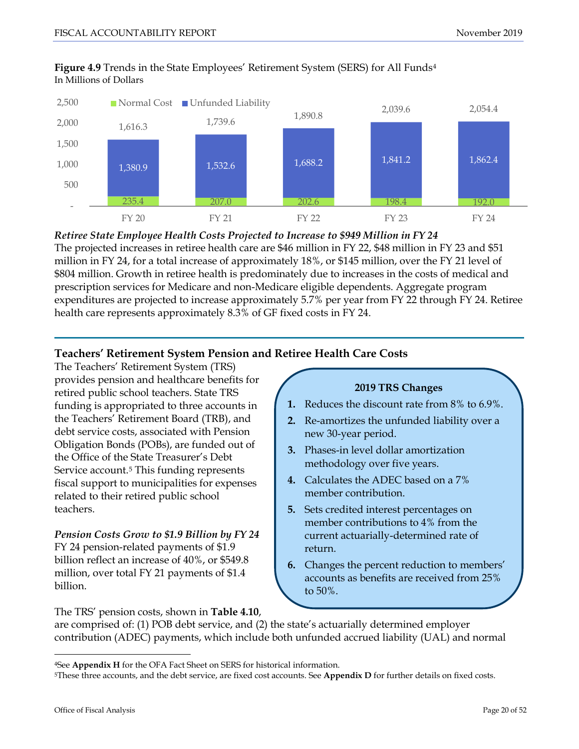

#### **Figure 4.9** Trends in the State Employees' Retirement System (SERS) for All Funds[4](#page-18-0) In Millions of Dollars

*Retiree State Employee Health Costs Projected to Increase to \$949 Million in FY 24* The projected increases in retiree health care are \$46 million in FY 22, \$48 million in FY 23 and \$51 million in FY 24, for a total increase of approximately 18%, or \$145 million, over the FY 21 level of \$804 million. Growth in retiree health is predominately due to increases in the costs of medical and prescription services for Medicare and non-Medicare eligible dependents. Aggregate program expenditures are projected to increase approximately 5.7% per year from FY 22 through FY 24. Retiree health care represents approximately 8.3% of GF fixed costs in FY 24.

# **Teachers' Retirement System Pension and Retiree Health Care Costs**

The Teachers' Retirement System (TRS) provides pension and healthcare benefits for retired public school teachers. State TRS funding is appropriated to three accounts in the Teachers' Retirement Board (TRB), and debt service costs, associated with Pension Obligation Bonds (POBs), are funded out of the Office of the State Treasurer's Debt Service account.<sup>5</sup> This funding represents fiscal support to municipalities for expenses related to their retired public school teachers.

*Pension Costs Grow to \$1.9 Billion by FY 24* FY 24 pension-related payments of \$1.9 billion reflect an increase of 40%, or \$549.8 million, over total FY 21 payments of \$1.4 billion.

**1.** Reduces the discount rate from 8% to 6.9%. **2.** Re-amortizes the unfunded liability over a new 30-year period. **3.** Phases-in level dollar amortization methodology over five years. **4.** Calculates the ADEC based on a 7% member contribution. **5.** Sets credited interest percentages on member contributions to 4% from the current actuarially-determined rate of return.

**2019 TRS Changes** 

**6.** Changes the percent reduction to members' accounts as benefits are received from 25% to 50%.

The TRS' pension costs, shown in **Table 4.10**,

are comprised of: (1) POB debt service, and (2) the state's actuarially determined employer contribution (ADEC) payments, which include both unfunded accrued liability (UAL) and normal

<span id="page-19-1"></span> <sup>4</sup>See **Appendix <sup>H</sup>**for the OFA Fact Sheet on SERS for historical information.

<span id="page-19-0"></span><sup>5</sup>These three accounts, and the debt service, are fixed cost accounts. See **Appendix D** for further details on fixed costs.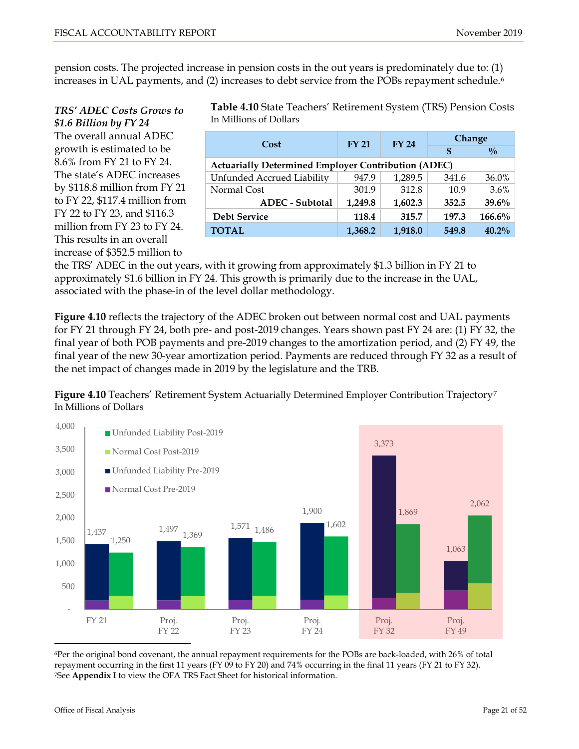pension costs. The projected increase in pension costs in the out years is predominately due to: (1) increases in UAL payments, and (2) increases to debt service from the POBs repayment schedule.<sup>[6](#page-19-1)</sup>

# *TRS' ADEC Costs Grows to \$1.6 Billion by FY 24* The overall annual ADEC

growth is estimated to be 8.6% from FY 21 to FY 24. The state's ADEC increases by \$118.8 million from FY 21 to FY 22, \$117.4 million from FY 22 to FY 23, and \$116.3 million from FY 23 to FY 24. This results in an overall increase of \$352.5 million to

**Table 4.10** State Teachers' Retirement System (TRS) Pension Costs In Millions of Dollars

| Cost                                                       | <b>FY 21</b> | <b>FY 24</b> | <b>Change</b> |               |  |  |
|------------------------------------------------------------|--------------|--------------|---------------|---------------|--|--|
|                                                            |              |              | \$            | $\frac{0}{0}$ |  |  |
| <b>Actuarially Determined Employer Contribution (ADEC)</b> |              |              |               |               |  |  |
| Unfunded Accrued Liability                                 | 947.9        | 1,289.5      | 341.6         | 36.0%         |  |  |
| Normal Cost                                                | 301.9        | 312.8        | 10.9          | 3.6%          |  |  |
| <b>ADEC</b> - Subtotal                                     | 1,249.8      | 1,602.3      | 352.5         | 39.6%         |  |  |
| <b>Debt Service</b>                                        | 118.4        | 315.7        | 197.3         | $166.6\%$     |  |  |
| <b>TOTAL</b>                                               | 1,368.2      | 1,918.0      | 549.8         | $40.2\%$      |  |  |

the TRS' ADEC in the out years, with it growing from approximately \$1.3 billion in FY 21 to approximately \$1.6 billion in FY 24. This growth is primarily due to the increase in the UAL, associated with the phase-in of the level dollar methodology.

**Figure 4.10** reflects the trajectory of the ADEC broken out between normal cost and UAL payments for FY 21 through FY 24, both pre- and post-2019 changes. Years shown past FY 24 are: (1) FY 32, the final year of both POB payments and pre-2019 changes to the amortization period, and (2) FY 49, the final year of the new 30-year amortization period. Payments are reduced through FY 32 as a result of the net impact of changes made in 2019 by the legislature and the TRB.

**Figure 4.10** Teachers' Retirement System Actuarially Determined Employer Contribution Trajectory<sup>[7](#page-20-0)</sup> In Millions of Dollars



<span id="page-20-1"></span><span id="page-20-0"></span> 6Per the original bond covenant, the annual repayment requirements for the POBs are back-loaded, with 26% of total repayment occurring in the first 11 years (FY 09 to FY 20) and 74% occurring in the final 11 years (FY 21 to FY 32). 7See **Appendix I** to view the OFA TRS Fact Sheet for historical information.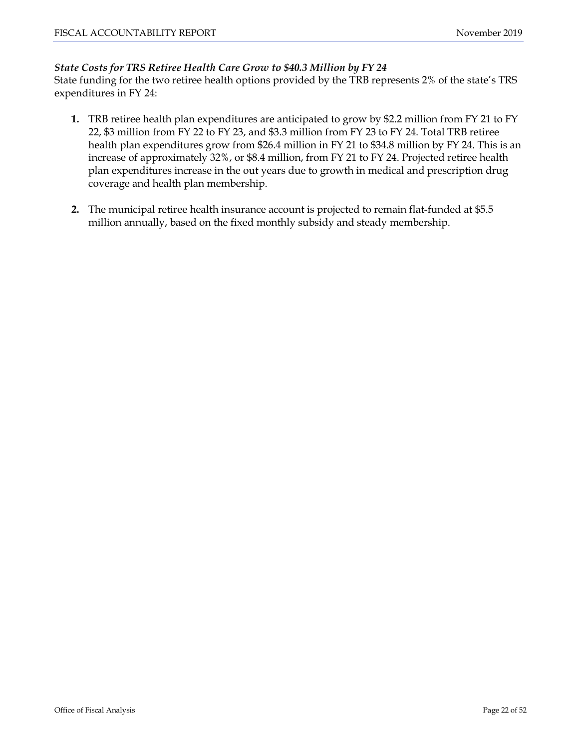#### *State Costs for TRS Retiree Health Care Grow to \$40.3 Million by FY 24*

State funding for the two retiree health options provided by the TRB represents 2% of the state's TRS expenditures in FY 24:

- **1.** TRB retiree health plan expenditures are anticipated to grow by \$2.2 million from FY 21 to FY 22, \$3 million from FY 22 to FY 23, and \$3.3 million from FY 23 to FY 24. Total TRB retiree health plan expenditures grow from \$26.4 million in FY 21 to \$34.8 million by FY 24. This is an increase of approximately 32%, or \$8.4 million, from FY 21 to FY 24. Projected retiree health plan expenditures increase in the out years due to growth in medical and prescription drug coverage and health plan membership.
- **2.** The municipal retiree health insurance account is projected to remain flat-funded at \$5.5 million annually, based on the fixed monthly subsidy and steady membership.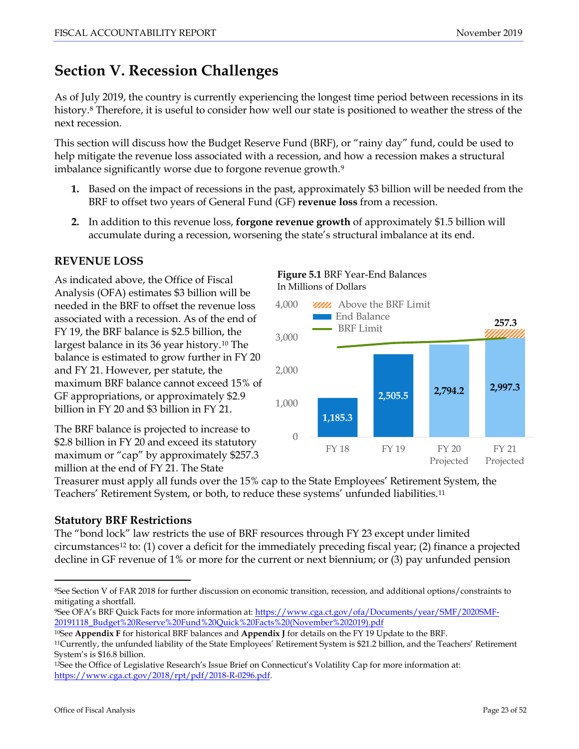# <span id="page-22-0"></span>**Section V. Recession Challenges**

As of July 2019, the country is currently experiencing the longest time period between recessions in its history.[8](#page-20-1) Therefore, it is useful to consider how well our state is positioned to weather the stress of the next recession.

This section will discuss how the Budget Reserve Fund (BRF), or "rainy day" fund, could be used to help mitigate the revenue loss associated with a recession, and how a recession makes a structural imbalance significantly worse due to forgone revenue growth.<sup>[9](#page-22-1)</sup>

- **1.** Based on the impact of recessions in the past, approximately \$3 billion will be needed from the BRF to offset two years of General Fund (GF) **revenue loss** from a recession.
- **2.** In addition to this revenue loss, **forgone revenue growth** of approximately \$1.5 billion will accumulate during a recession, worsening the state's structural imbalance at its end.

# **REVENUE LOSS**

As indicated above, the Office of Fiscal Analysis (OFA) estimates \$3 billion will be needed in the BRF to offset the revenue loss associated with a recession. As of the end of FY 19, the BRF balance is \$2.5 billion, the largest balance in its 36 year history[.10](#page-22-2) The balance is estimated to grow further in FY 20 and FY 21. However, per statute, the maximum BRF balance cannot exceed 15% of GF appropriations, or approximately \$2.9 billion in FY 20 and \$3 billion in FY 21.

The BRF balance is projected to increase to \$2.8 billion in FY 20 and exceed its statutory maximum or "cap" by approximately \$257.3 million at the end of FY 21. The State

#### **Figure 5.1** BRF Year-End Balances In Millions of Dollars



Treasurer must apply all funds over the 15% cap to the State Employees' Retirement System, the Teachers' Retirement System, or both, to reduce these systems' unfunded liabilities.[11](#page-22-3)

# **Statutory BRF Restrictions**

The "bond lock" law restricts the use of BRF resources through FY 23 except under limited circumstances[12](#page-22-4) to: (1) cover a deficit for the immediately preceding fiscal year; (2) finance a projected decline in GF revenue of 1% or more for the current or next biennium; or (3) pay unfunded pension

 <sup>8</sup>See Section V of FAR 2018 for further discussion on economic transition, recession, and additional options/constraints to mitigating a shortfall.

<span id="page-22-1"></span><sup>9</sup>See OFA's BRF Quick Facts for more information at: [https://www.cga.ct.gov/ofa/Documents/year/SMF/2020SMF-](https://www.cga.ct.gov/ofa/Documents/year/SMF/2020SMF-20191118_Budget%20Reserve%20Fund%20Quick%20Facts%20(November%202019).pdf)[20191118\\_Budget%20Reserve%20Fund%20Quick%20Facts%20\(November%202019\).pdf](https://www.cga.ct.gov/ofa/Documents/year/SMF/2020SMF-20191118_Budget%20Reserve%20Fund%20Quick%20Facts%20(November%202019).pdf)

<span id="page-22-2"></span><sup>10</sup>See **Appendix F** for historical BRF balances and **Appendix J** for details on the FY 19 Update to the BRF.

<span id="page-22-5"></span><span id="page-22-3"></span><sup>11</sup>Currently, the unfunded liability of the State Employees' Retirement System is \$21.2 billion, and the Teachers' Retirement System's is \$16.8 billion.

<span id="page-22-4"></span><sup>12</sup>See the Office of Legislative Research's Issue Brief on Connecticut's Volatility Cap for more information at: [https://www.cga.ct.gov/2018/rpt/pdf/2018-R-0296.pdf.](https://www.cga.ct.gov/2018/rpt/pdf/2018-R-0296.pdf)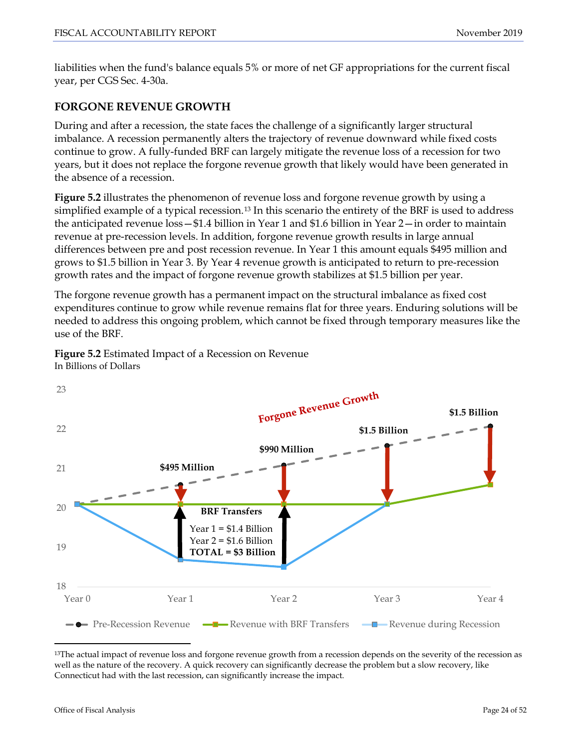liabilities when the fund's balance equals 5% or more of net GF appropriations for the current fiscal year, per CGS Sec. 4-30a.

# **FORGONE REVENUE GROWTH**

During and after a recession, the state faces the challenge of a significantly larger structural imbalance. A recession permanently alters the trajectory of revenue downward while fixed costs continue to grow. A fully-funded BRF can largely mitigate the revenue loss of a recession for two years, but it does not replace the forgone revenue growth that likely would have been generated in the absence of a recession.

**Figure 5.2** illustrates the phenomenon of revenue loss and forgone revenue growth by using a simplified example of a typical recession.[13](#page-22-5) In this scenario the entirety of the BRF is used to address the anticipated revenue loss—\$1.4 billion in Year 1 and \$1.6 billion in Year 2—in order to maintain revenue at pre-recession levels. In addition, forgone revenue growth results in large annual differences between pre and post recession revenue. In Year 1 this amount equals \$495 million and grows to \$1.5 billion in Year 3. By Year 4 revenue growth is anticipated to return to pre-recession growth rates and the impact of forgone revenue growth stabilizes at \$1.5 billion per year.

The forgone revenue growth has a permanent impact on the structural imbalance as fixed cost expenditures continue to grow while revenue remains flat for three years. Enduring solutions will be needed to address this ongoing problem, which cannot be fixed through temporary measures like the use of the BRF.

**Figure 5.2** Estimated Impact of a Recession on Revenue In Billions of Dollars



<span id="page-23-0"></span><sup>&</sup>lt;sup>13</sup>The actual impact of revenue loss and forgone revenue growth from a recession depends on the severity of the recession as well as the nature of the recovery. A quick recovery can significantly decrease the problem but a slow recovery, like Connecticut had with the last recession, can significantly increase the impact.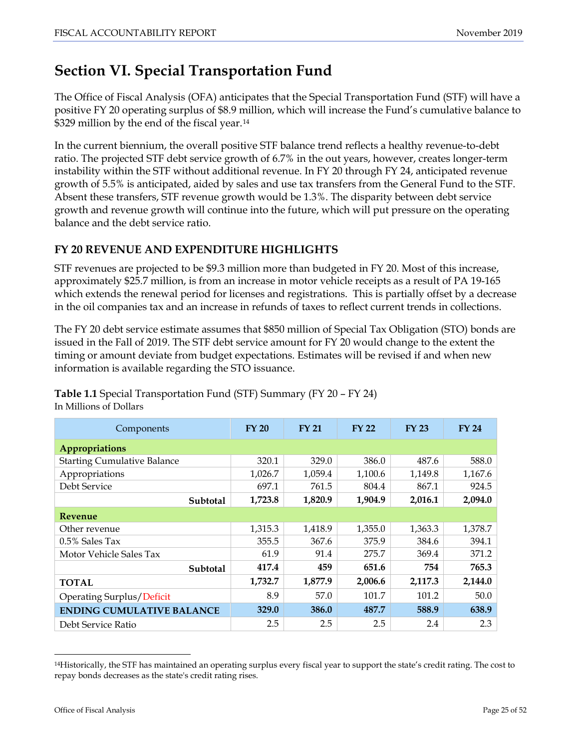# <span id="page-24-0"></span>**Section VI. Special Transportation Fund**

The Office of Fiscal Analysis (OFA) anticipates that the Special Transportation Fund (STF) will have a positive FY 20 operating surplus of \$8.9 million, which will increase the Fund's cumulative balance to \$329 million by the end of the fiscal year.<sup>[14](#page-23-0)</sup>

In the current biennium, the overall positive STF balance trend reflects a healthy revenue-to-debt ratio. The projected STF debt service growth of 6.7% in the out years, however, creates longer-term instability within the STF without additional revenue. In FY 20 through FY 24, anticipated revenue growth of 5.5% is anticipated, aided by sales and use tax transfers from the General Fund to the STF. Absent these transfers, STF revenue growth would be 1.3%. The disparity between debt service growth and revenue growth will continue into the future, which will put pressure on the operating balance and the debt service ratio.

# **FY 20 REVENUE AND EXPENDITURE HIGHLIGHTS**

STF revenues are projected to be \$9.3 million more than budgeted in FY 20. Most of this increase, approximately \$25.7 million, is from an increase in motor vehicle receipts as a result of PA 19-165 which extends the renewal period for licenses and registrations. This is partially offset by a decrease in the oil companies tax and an increase in refunds of taxes to reflect current trends in collections.

The FY 20 debt service estimate assumes that \$850 million of Special Tax Obligation (STO) bonds are issued in the Fall of 2019. The STF debt service amount for FY 20 would change to the extent the timing or amount deviate from budget expectations. Estimates will be revised if and when new information is available regarding the STO issuance.

| Components                         | <b>FY 20</b> | <b>FY 21</b> | <b>FY 22</b> | <b>FY 23</b> | <b>FY 24</b> |  |  |  |
|------------------------------------|--------------|--------------|--------------|--------------|--------------|--|--|--|
| Appropriations                     |              |              |              |              |              |  |  |  |
| <b>Starting Cumulative Balance</b> | 320.1        | 329.0        | 386.0        | 487.6        | 588.0        |  |  |  |
| Appropriations                     | 1,026.7      | 1,059.4      | 1,100.6      | 1,149.8      | 1,167.6      |  |  |  |
| Debt Service                       | 697.1        | 761.5        | 804.4        | 867.1        | 924.5        |  |  |  |
| Subtotal                           | 1,723.8      | 1,820.9      | 1,904.9      | 2,016.1      | 2,094.0      |  |  |  |
| <b>Revenue</b>                     |              |              |              |              |              |  |  |  |
| Other revenue                      | 1,315.3      | 1,418.9      | 1,355.0      | 1,363.3      | 1,378.7      |  |  |  |
| 0.5% Sales Tax                     | 355.5        | 367.6        | 375.9        | 384.6        | 394.1        |  |  |  |
| Motor Vehicle Sales Tax            | 61.9         | 91.4         | 275.7        | 369.4        | 371.2        |  |  |  |
| Subtotal                           | 417.4        | 459          | 651.6        | 754          | 765.3        |  |  |  |
| <b>TOTAL</b>                       | 1,732.7      | 1,877.9      | 2,006.6      | 2,117.3      | 2,144.0      |  |  |  |
| Operating Surplus/Deficit          | 8.9          | 57.0         | 101.7        | 101.2        | 50.0         |  |  |  |
| <b>ENDING CUMULATIVE BALANCE</b>   | 329.0        | 386.0        | 487.7        | 588.9        | 638.9        |  |  |  |
| Debt Service Ratio                 | 2.5          | 2.5          | 2.5          | 2.4          | 2.3          |  |  |  |

**Table 1.1** Special Transportation Fund (STF) Summary (FY 20 – FY 24) In Millions of Dollars

<span id="page-24-1"></span> <sup>14</sup>Historically, the STF has maintained an operating surplus every fiscal year to support the state's credit rating. The cost to repay bonds decreases as the state's credit rating rises.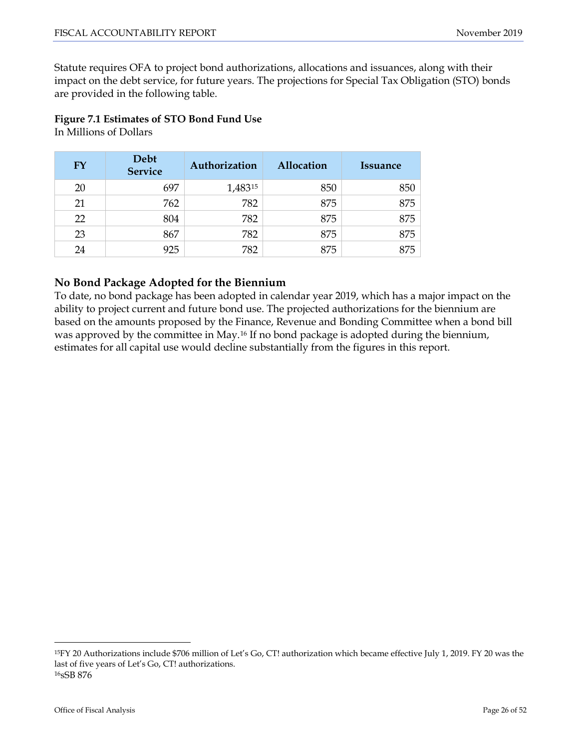Statute requires OFA to project bond authorizations, allocations and issuances, along with their impact on the debt service, for future years. The projections for Special Tax Obligation (STO) bonds are provided in the following table.

# **Figure 7.1 Estimates of STO Bond Fund Use**

In Millions of Dollars

| <b>FY</b> | Debt<br><b>Service</b> | Authorization | <b>Allocation</b> | <i><u><b>Issuance</b></u></i> |
|-----------|------------------------|---------------|-------------------|-------------------------------|
| 20        | 697                    | 1,48315       | 850               | 850                           |
| 21        | 762                    | 782           | 875               | 875                           |
| 22        | 804                    | 782           | 875               | 875                           |
| 23        | 867                    | 782           | 875               | 875                           |
| 24        | 925                    | 782           | 875               | 875                           |

# **No Bond Package Adopted for the Biennium**

To date, no bond package has been adopted in calendar year 2019, which has a major impact on the ability to project current and future bond use. The projected authorizations for the biennium are based on the amounts proposed by the Finance, Revenue and Bonding Committee when a bond bill was approved by the committee in May.[16](#page-25-0) If no bond package is adopted during the biennium, estimates for all capital use would decline substantially from the figures in this report.

<span id="page-25-1"></span><span id="page-25-0"></span> <sup>15</sup>FY 20 Authorizations include \$706 million of Let's Go, CT! authorization which became effective July 1, 2019. FY 20 was the last of five years of Let's Go, CT! authorizations. 16sSB 876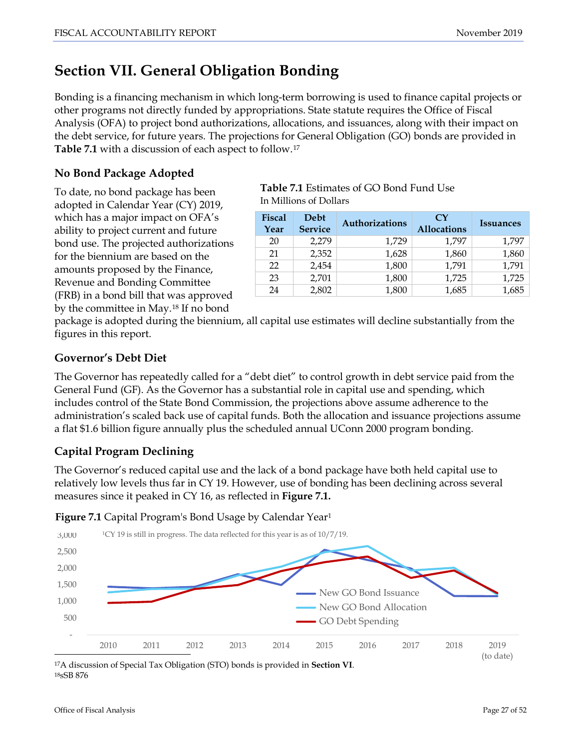# <span id="page-26-0"></span>**Section VII. General Obligation Bonding**

Bonding is a financing mechanism in which long-term borrowing is used to finance capital projects or other programs not directly funded by appropriations. State statute requires the Office of Fiscal Analysis (OFA) to project bond authorizations, allocations, and issuances, along with their impact on the debt service, for future years. The projections for General Obligation (GO) bonds are provided in **Table 7.1** with a discussion of each aspect to follow.[17](#page-25-1)

# **No Bond Package Adopted**

To date, no bond package has been adopted in Calendar Year (CY) 2019, which has a major impact on OFA's ability to project current and future bond use. The projected authorizations for the biennium are based on the amounts proposed by the Finance, Revenue and Bonding Committee (FRB) in a bond bill that was approved by the committee in May.[18](#page-26-1) If no bond

**Table 7.1** Estimates of GO Bond Fund Use In Millions of Dollars

| <b>Fiscal</b><br>Year | Debt<br><b>Service</b> | <b>Authorizations</b> | $\mathbf{C}\mathbf{Y}$<br><b>Allocations</b> | <b>Issuances</b> |
|-----------------------|------------------------|-----------------------|----------------------------------------------|------------------|
| 20                    | 2.279                  | 1,729                 | 1,797                                        | 1,797            |
| 21                    | 2,352                  | 1,628                 | 1,860                                        | 1,860            |
| 22                    | 2,454                  | 1,800                 | 1,791                                        | 1,791            |
| 23                    | 2,701                  | 1,800                 | 1,725                                        | 1,725            |
| 24                    | 2,802                  | 1,800                 | 1,685                                        | 1,685            |

package is adopted during the biennium, all capital use estimates will decline substantially from the figures in this report.

# **Governor's Debt Diet**

The Governor has repeatedly called for a "debt diet" to control growth in debt service paid from the General Fund (GF). As the Governor has a substantial role in capital use and spending, which includes control of the State Bond Commission, the projections above assume adherence to the administration's scaled back use of capital funds. Both the allocation and issuance projections assume a flat \$1.6 billion figure annually plus the scheduled annual UConn 2000 program bonding.

# **Capital Program Declining**

The Governor's reduced capital use and the lack of a bond package have both held capital use to relatively low levels thus far in CY 19. However, use of bonding has been declining across several measures since it peaked in CY 16, as reflected in **Figure 7.1.**

**Figure 7.1** Capital Program's Bond Usage by Calendar Year<sup>1</sup>



<span id="page-26-2"></span><span id="page-26-1"></span>18sSB 876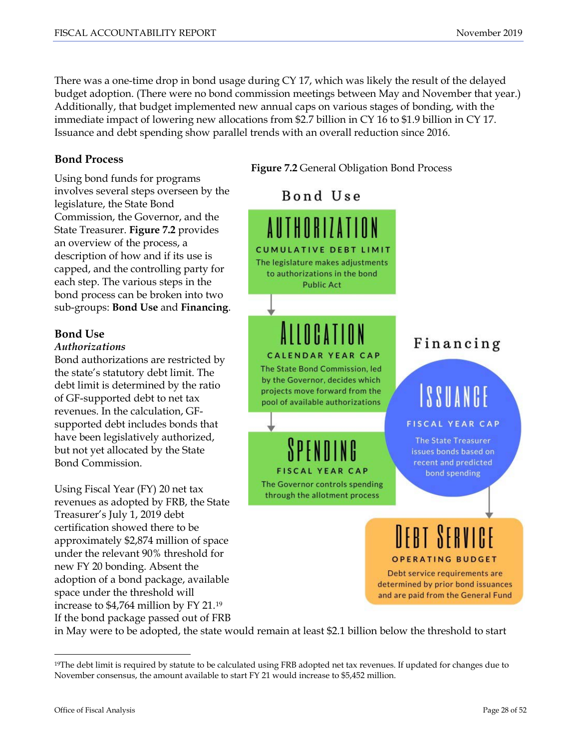There was a one-time drop in bond usage during CY 17, which was likely the result of the delayed budget adoption. (There were no bond commission meetings between May and November that year.) Additionally, that budget implemented new annual caps on various stages of bonding, with the immediate impact of lowering new allocations from \$2.7 billion in CY 16 to \$1.9 billion in CY 17. Issuance and debt spending show parallel trends with an overall reduction since 2016.

## **Bond Process**

Using bond funds for programs involves several steps overseen by the legislature, the State Bond Commission, the Governor, and the State Treasurer. **Figure 7.2** provides an overview of the process, a description of how and if its use is capped, and the controlling party for each step. The various steps in the bond process can be broken into two sub-groups: **Bond Use** and **Financing**.

# **Bond Use**

#### *Authorizations*

Bond authorizations are restricted by the state's statutory debt limit. The debt limit is determined by the ratio of GF-supported debt to net tax revenues. In the calculation, GFsupported debt includes bonds that have been legislatively authorized, but not yet allocated by the State Bond Commission.

Using Fiscal Year (FY) 20 net tax revenues as adopted by FRB, the State Treasurer's July 1, 2019 debt certification showed there to be approximately \$2,874 million of space under the relevant 90% threshold for new FY 20 bonding. Absent the adoption of a bond package, available space under the threshold will increase to \$4,764 million by FY 21.[19](#page-26-2) If the bond package passed out of FRB



<span id="page-27-0"></span>in May were to be adopted, the state would remain at least \$2.1 billion below the threshold to start

<sup>&</sup>lt;sup>19</sup>The debt limit is required by statute to be calculated using FRB adopted net tax revenues. If updated for changes due to November consensus, the amount available to start FY 21 would increase to \$5,452 million.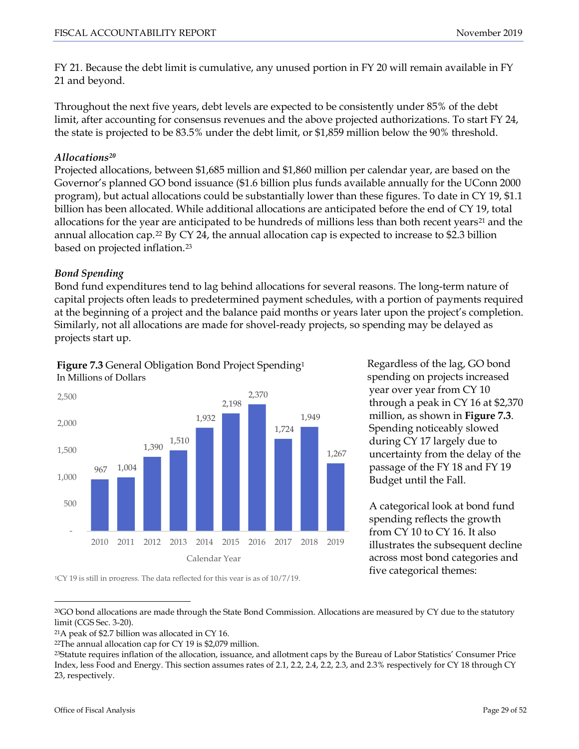FY 21. Because the debt limit is cumulative, any unused portion in FY 20 will remain available in FY 21 and beyond.

Throughout the next five years, debt levels are expected to be consistently under 85% of the debt limit, after accounting for consensus revenues and the above projected authorizations. To start FY 24, the state is projected to be 83.5% under the debt limit, or \$1,859 million below the 90% threshold.

## *Allocations[20](#page-27-0)*

Projected allocations, between \$1,685 million and \$1,860 million per calendar year, are based on the Governor's planned GO bond issuance (\$1.6 billion plus funds available annually for the UConn 2000 program), but actual allocations could be substantially lower than these figures. To date in CY 19, \$1.1 billion has been allocated. While additional allocations are anticipated before the end of CY 19, total allocations for the year are anticipated to be hundreds of millions less than both recent years<sup>[21](#page-28-0)</sup> and the annual allocation cap.<sup>[22](#page-28-1)</sup> By CY 24, the annual allocation cap is expected to increase to \$2.3 billion based on projected inflation.[23](#page-28-2)

## *Bond Spending*

Bond fund expenditures tend to lag behind allocations for several reasons. The long-term nature of capital projects often leads to predetermined payment schedules, with a portion of payments required at the beginning of a project and the balance paid months or years later upon the project's completion. Similarly, not all allocations are made for shovel-ready projects, so spending may be delayed as projects start up.

#### **Figure 7.3** General Obligation Bond Project Spending1 In Millions of Dollars



Regardless of the lag, GO bond spending on projects increased year over year from CY 10 through a peak in CY 16 at \$2,370 million, as shown in **Figure 7.3**. Spending noticeably slowed during CY 17 largely due to uncertainty from the delay of the passage of the FY 18 and FY 19 Budget until the Fall.

A categorical look at bond fund spending reflects the growth from CY 10 to CY 16. It also illustrates the subsequent decline across most bond categories and five categorical themes:

1CY 19 is still in progress. The data reflected for this year is as of 10/7/19.

 <sup>20</sup>GO bond allocations are made through the State Bond Commission. Allocations are measured by CY due to the statutory limit (CGS Sec. 3-20).

<span id="page-28-0"></span><sup>21</sup>A peak of \$2.7 billion was allocated in CY 16.

<span id="page-28-1"></span><sup>22</sup>The annual allocation cap for CY 19 is \$2,079 million.

<span id="page-28-2"></span><sup>23</sup>Statute requires inflation of the allocation, issuance, and allotment caps by the Bureau of Labor Statistics' Consumer Price Index, less Food and Energy. This section assumes rates of 2.1, 2.2, 2.4, 2.2, 2.3, and 2.3% respectively for CY 18 through CY 23, respectively.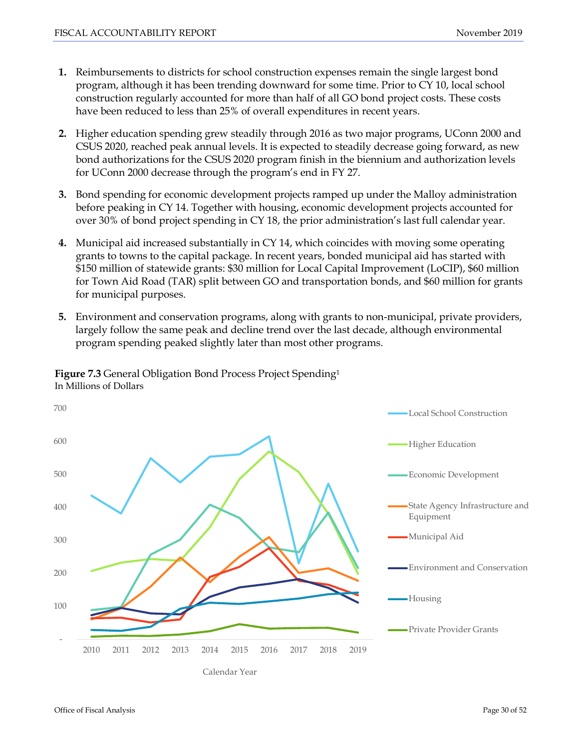- **1.** Reimbursements to districts for school construction expenses remain the single largest bond program, although it has been trending downward for some time. Prior to CY 10, local school construction regularly accounted for more than half of all GO bond project costs. These costs have been reduced to less than 25% of overall expenditures in recent years.
- **2.** Higher education spending grew steadily through 2016 as two major programs, UConn 2000 and CSUS 2020, reached peak annual levels. It is expected to steadily decrease going forward, as new bond authorizations for the CSUS 2020 program finish in the biennium and authorization levels for UConn 2000 decrease through the program's end in FY 27.
- **3.** Bond spending for economic development projects ramped up under the Malloy administration before peaking in CY 14. Together with housing, economic development projects accounted for over 30% of bond project spending in CY 18, the prior administration's last full calendar year.
- **4.** Municipal aid increased substantially in CY 14, which coincides with moving some operating grants to towns to the capital package. In recent years, bonded municipal aid has started with \$150 million of statewide grants: \$30 million for Local Capital Improvement (LoCIP), \$60 million for Town Aid Road (TAR) split between GO and transportation bonds, and \$60 million for grants for municipal purposes.
- **5.** Environment and conservation programs, along with grants to non-municipal, private providers, largely follow the same peak and decline trend over the last decade, although environmental program spending peaked slightly later than most other programs.



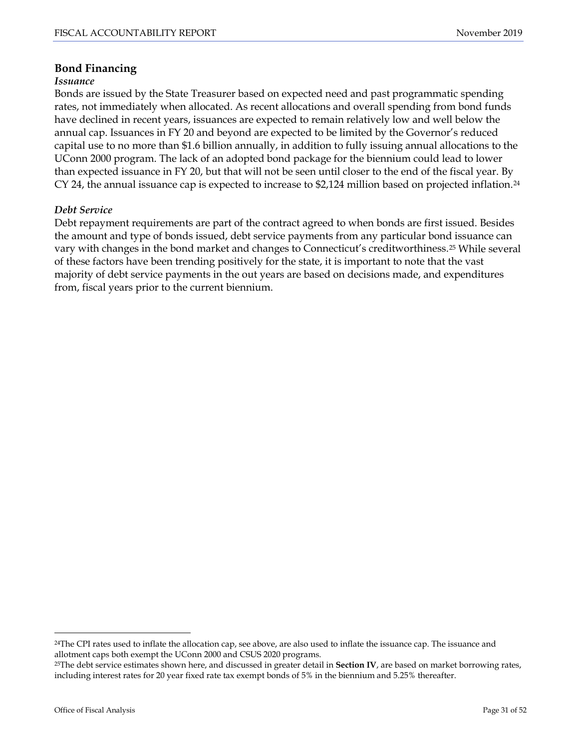## **Bond Financing**

#### *Issuance*

Bonds are issued by the State Treasurer based on expected need and past programmatic spending rates, not immediately when allocated. As recent allocations and overall spending from bond funds have declined in recent years, issuances are expected to remain relatively low and well below the annual cap. Issuances in FY 20 and beyond are expected to be limited by the Governor's reduced capital use to no more than \$1.6 billion annually, in addition to fully issuing annual allocations to the UConn 2000 program. The lack of an adopted bond package for the biennium could lead to lower than expected issuance in FY 20, but that will not be seen until closer to the end of the fiscal year. By CY [24](#page-28-1), the annual issuance cap is expected to increase to \$2,124 million based on projected inflation.<sup>24</sup>

#### *Debt Service*

Debt repayment requirements are part of the contract agreed to when bonds are first issued. Besides the amount and type of bonds issued, debt service payments from any particular bond issuance can vary with changes in the bond market and changes to Connecticut's creditworthiness.[25](#page-30-0) While several of these factors have been trending positively for the state, it is important to note that the vast majority of debt service payments in the out years are based on decisions made, and expenditures from, fiscal years prior to the current biennium.

<span id="page-30-1"></span> <sup>24</sup>The CPI rates used to inflate the allocation cap, see above, are also used to inflate the issuance cap. The issuance and allotment caps both exempt the UConn 2000 and CSUS 2020 programs.

<span id="page-30-0"></span><sup>25</sup>The debt service estimates shown here, and discussed in greater detail in **Section IV**, are based on market borrowing rates, including interest rates for 20 year fixed rate tax exempt bonds of 5% in the biennium and 5.25% thereafter.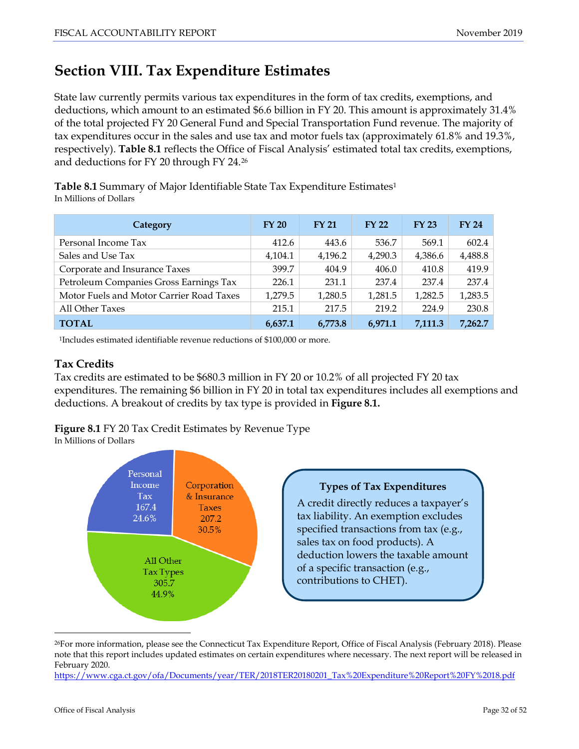# <span id="page-31-0"></span>**Section VIII. Tax Expenditure Estimates**

State law currently permits various tax expenditures in the form of tax credits, exemptions, and deductions, which amount to an estimated \$6.6 billion in FY 20. This amount is approximately 31.4% of the total projected FY 20 General Fund and Special Transportation Fund revenue. The majority of tax expenditures occur in the sales and use tax and motor fuels tax (approximately 61.8% and 19.3%, respectively). **Table 8.1** reflects the Office of Fiscal Analysis' estimated total tax credits, exemptions, and deductions for FY 20 through FY 24.[26](#page-30-1)

**Table 8.1** Summary of Major Identifiable State Tax Expenditure Estimates1 In Millions of Dollars

| Category                                 | <b>FY 20</b> | <b>FY 21</b> | <b>FY 22</b> | <b>FY 23</b> | <b>FY 24</b> |
|------------------------------------------|--------------|--------------|--------------|--------------|--------------|
| Personal Income Tax                      | 412.6        | 443.6        | 536.7        | 569.1        | 602.4        |
| Sales and Use Tax                        | 4,104.1      | 4,196.2      | 4,290.3      | 4,386.6      | 4,488.8      |
| Corporate and Insurance Taxes            | 399.7        | 404.9        | 406.0        | 410.8        | 419.9        |
| Petroleum Companies Gross Earnings Tax   | 226.1        | 231.1        | 237.4        | 237.4        | 237.4        |
| Motor Fuels and Motor Carrier Road Taxes | 1,279.5      | 1,280.5      | 1,281.5      | 1,282.5      | 1,283.5      |
| All Other Taxes                          | 215.1        | 217.5        | 219.2        | 224.9        | 230.8        |
| <b>TOTAL</b>                             | 6,637.1      | 6.773.8      | 6.971.1      | 7,111.3      | 7,262.7      |

1Includes estimated identifiable revenue reductions of \$100,000 or more.

# **Tax Credits**

Tax credits are estimated to be \$680.3 million in FY 20 or 10.2% of all projected FY 20 tax expenditures. The remaining \$6 billion in FY 20 in total tax expenditures includes all exemptions and deductions. A breakout of credits by tax type is provided in **Figure 8.1.**

**Figure 8.1** FY 20 Tax Credit Estimates by Revenue Type In Millions of Dollars



 <sup>26</sup>For more information, please see the Connecticut Tax Expenditure Report, Office of Fiscal Analysis (February 2018). Please note that this report includes updated estimates on certain expenditures where necessary. The next report will be released in February 2020.

<span id="page-31-1"></span>[https://www.cga.ct.gov/ofa/Documents/year/TER/2018TER20180201\\_Tax%20Expenditure%20Report%20FY%2018.pdf](https://www.cga.ct.gov/ofa/Documents/year/TER/2018TER20180201_Tax%20Expenditure%20Report%20FY%2018.pdf)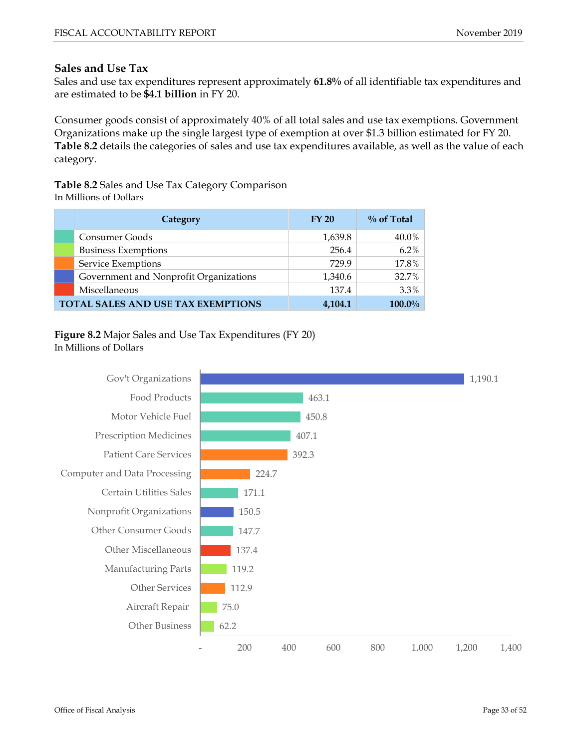#### **Sales and Use Tax**

Sales and use tax expenditures represent approximately **61.8%** of all identifiable tax expenditures and are estimated to be **\$4.1 billion** in FY 20.

Consumer goods consist of approximately 40% of all total sales and use tax exemptions. Government Organizations make up the single largest type of exemption at over \$1.3 billion estimated for FY 20. **Table 8.2** details the categories of sales and use tax expenditures available, as well as the value of each category.

**Table 8.2** Sales and Use Tax Category Comparison In Millions of Dollars

| Category                                  | <b>FY 20</b> | $\%$ of Total |
|-------------------------------------------|--------------|---------------|
| Consumer Goods                            | 1,639.8      | 40.0%         |
| <b>Business Exemptions</b>                | 256.4        | 6.2%          |
| Service Exemptions                        | 729.9        | 17.8%         |
| Government and Nonprofit Organizations    | 1,340.6      | 32.7%         |
| Miscellaneous                             | 137.4        | 3.3%          |
| <b>TOTAL SALES AND USE TAX EXEMPTIONS</b> | 4,104.1      | 100.0%        |

#### **Figure 8.2** Major Sales and Use Tax Expenditures (FY 20) In Millions of Dollars

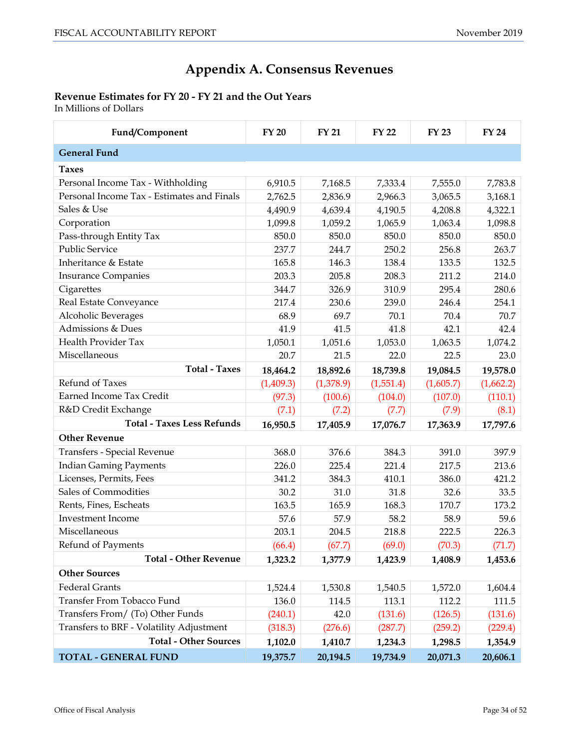# **Appendix A. Consensus Revenues**

# <span id="page-33-0"></span>**Revenue Estimates for FY 20 - FY 21 and the Out Years**

In Millions of Dollars

| Fund/Component                             | <b>FY 20</b> | <b>FY 21</b> | <b>FY 22</b> | <b>FY 23</b> | <b>FY 24</b> |
|--------------------------------------------|--------------|--------------|--------------|--------------|--------------|
| <b>General Fund</b>                        |              |              |              |              |              |
| <b>Taxes</b>                               |              |              |              |              |              |
| Personal Income Tax - Withholding          | 6,910.5      | 7,168.5      | 7,333.4      | 7,555.0      | 7,783.8      |
| Personal Income Tax - Estimates and Finals | 2,762.5      | 2,836.9      | 2,966.3      | 3,065.5      | 3,168.1      |
| Sales & Use                                | 4,490.9      | 4,639.4      | 4,190.5      | 4,208.8      | 4,322.1      |
| Corporation                                | 1,099.8      | 1,059.2      | 1,065.9      | 1,063.4      | 1,098.8      |
| Pass-through Entity Tax                    | 850.0        | 850.0        | 850.0        | 850.0        | 850.0        |
| <b>Public Service</b>                      | 237.7        | 244.7        | 250.2        | 256.8        | 263.7        |
| Inheritance & Estate                       | 165.8        | 146.3        | 138.4        | 133.5        | 132.5        |
| <b>Insurance Companies</b>                 | 203.3        | 205.8        | 208.3        | 211.2        | 214.0        |
| Cigarettes                                 | 344.7        | 326.9        | 310.9        | 295.4        | 280.6        |
| Real Estate Conveyance                     | 217.4        | 230.6        | 239.0        | 246.4        | 254.1        |
| Alcoholic Beverages                        | 68.9         | 69.7         | 70.1         | 70.4         | 70.7         |
| Admissions & Dues                          | 41.9         | 41.5         | 41.8         | 42.1         | 42.4         |
| Health Provider Tax                        | 1,050.1      | 1,051.6      | 1,053.0      | 1,063.5      | 1,074.2      |
| Miscellaneous                              | 20.7         | 21.5         | 22.0         | 22.5         | 23.0         |
| <b>Total - Taxes</b>                       | 18,464.2     | 18,892.6     | 18,739.8     | 19,084.5     | 19,578.0     |
| Refund of Taxes                            | (1,409.3)    | (1,378.9)    | (1,551.4)    | (1,605.7)    | (1,662.2)    |
| Earned Income Tax Credit                   | (97.3)       | (100.6)      | (104.0)      | (107.0)      | (110.1)      |
| R&D Credit Exchange                        | (7.1)        | (7.2)        | (7.7)        | (7.9)        | (8.1)        |
| <b>Total - Taxes Less Refunds</b>          | 16,950.5     | 17,405.9     | 17,076.7     | 17,363.9     | 17,797.6     |
| <b>Other Revenue</b>                       |              |              |              |              |              |
| Transfers - Special Revenue                | 368.0        | 376.6        | 384.3        | 391.0        | 397.9        |
| <b>Indian Gaming Payments</b>              | 226.0        | 225.4        | 221.4        | 217.5        | 213.6        |
| Licenses, Permits, Fees                    | 341.2        | 384.3        | 410.1        | 386.0        | 421.2        |
| Sales of Commodities                       | 30.2         | 31.0         | 31.8         | 32.6         | 33.5         |
| Rents, Fines, Escheats                     | 163.5        | 165.9        | 168.3        | 170.7        | 173.2        |
| <b>Investment Income</b>                   | 57.6         | 57.9         | 58.2         | 58.9         | 59.6         |
| Miscellaneous                              | 203.1        | 204.5        | 218.8        | 222.5        | 226.3        |
| Refund of Payments                         | (66.4)       | (67.7)       | (69.0)       | (70.3)       | (71.7)       |
| <b>Total - Other Revenue</b>               | 1,323.2      | 1,377.9      | 1,423.9      | 1,408.9      | 1,453.6      |
| <b>Other Sources</b>                       |              |              |              |              |              |
| Federal Grants                             | 1,524.4      | 1,530.8      | 1,540.5      | 1,572.0      | 1,604.4      |
| Transfer From Tobacco Fund                 | 136.0        | 114.5        | 113.1        | 112.2        | 111.5        |
| Transfers From/ (To) Other Funds           | (240.1)      | 42.0         | (131.6)      | (126.5)      | (131.6)      |
| Transfers to BRF - Volatility Adjustment   | (318.3)      | (276.6)      | (287.7)      | (259.2)      | (229.4)      |
| <b>Total - Other Sources</b>               | 1,102.0      | 1,410.7      | 1,234.3      | 1,298.5      | 1,354.9      |
| <b>TOTAL - GENERAL FUND</b>                | 19,375.7     | 20,194.5     | 19,734.9     | 20,071.3     | 20,606.1     |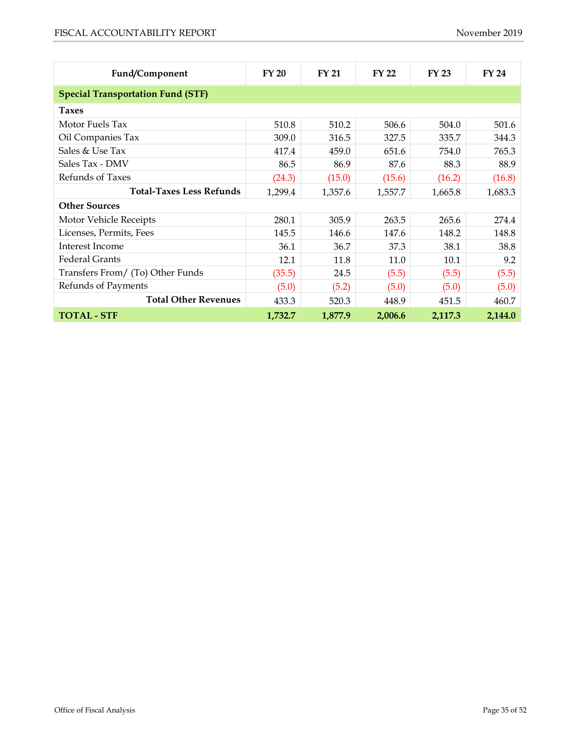| Fund/Component                           | FY 20   | <b>FY 21</b> | <b>FY 22</b> | <b>FY 23</b> | <b>FY 24</b> |  |  |  |
|------------------------------------------|---------|--------------|--------------|--------------|--------------|--|--|--|
| <b>Special Transportation Fund (STF)</b> |         |              |              |              |              |  |  |  |
| <b>Taxes</b>                             |         |              |              |              |              |  |  |  |
| Motor Fuels Tax                          | 510.8   | 510.2        | 506.6        | 504.0        | 501.6        |  |  |  |
| Oil Companies Tax                        | 309.0   | 316.5        | 327.5        | 335.7        | 344.3        |  |  |  |
| Sales & Use Tax                          | 417.4   | 459.0        | 651.6        | 754.0        | 765.3        |  |  |  |
| Sales Tax - DMV                          | 86.5    | 86.9         | 87.6         | 88.3         | 88.9         |  |  |  |
| Refunds of Taxes                         | (24.3)  | (15.0)       | (15.6)       | (16.2)       | (16.8)       |  |  |  |
| <b>Total-Taxes Less Refunds</b>          | 1,299.4 | 1,357.6      | 1,557.7      | 1,665.8      | 1,683.3      |  |  |  |
| <b>Other Sources</b>                     |         |              |              |              |              |  |  |  |
| Motor Vehicle Receipts                   | 280.1   | 305.9        | 263.5        | 265.6        | 274.4        |  |  |  |
| Licenses, Permits, Fees                  | 145.5   | 146.6        | 147.6        | 148.2        | 148.8        |  |  |  |
| Interest Income                          | 36.1    | 36.7         | 37.3         | 38.1         | 38.8         |  |  |  |
| <b>Federal Grants</b>                    | 12.1    | 11.8         | 11.0         | 10.1         | 9.2          |  |  |  |
| Transfers From/ (To) Other Funds         | (35.5)  | 24.5         | (5.5)        | (5.5)        | (5.5)        |  |  |  |
| Refunds of Payments                      | (5.0)   | (5.2)        | (5.0)        | (5.0)        | (5.0)        |  |  |  |
| <b>Total Other Revenues</b>              | 433.3   | 520.3        | 448.9        | 451.5        | 460.7        |  |  |  |
| <b>TOTAL - STF</b>                       | 1,732.7 | 1,877.9      | 2,006.6      | 2,117.3      | 2,144.0      |  |  |  |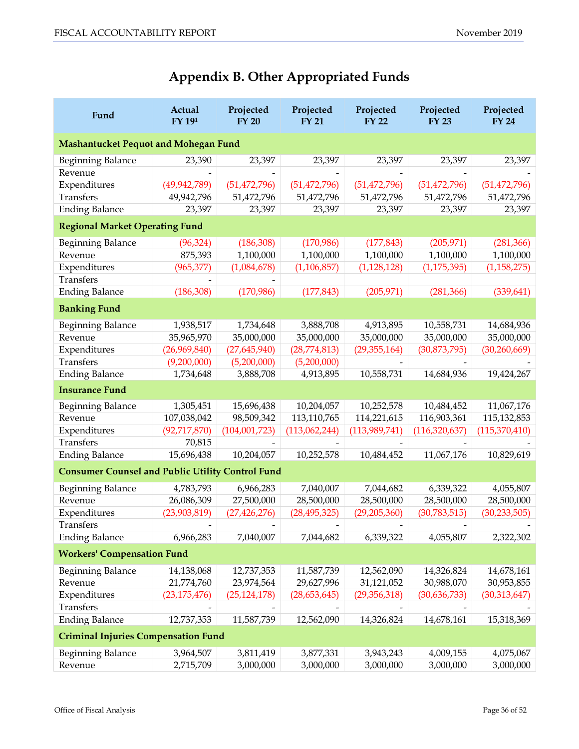# **Appendix B. Other Appropriated Funds**

<span id="page-35-0"></span>

| Fund                                                    | Actual<br>FY 191 | Projected<br><b>FY 20</b> | Projected<br><b>FY 21</b> | Projected<br><b>FY 22</b> | Projected<br><b>FY 23</b> | Projected<br><b>FY 24</b> |
|---------------------------------------------------------|------------------|---------------------------|---------------------------|---------------------------|---------------------------|---------------------------|
| <b>Mashantucket Pequot and Mohegan Fund</b>             |                  |                           |                           |                           |                           |                           |
| Beginning Balance                                       | 23,390           | 23,397                    | 23,397                    | 23,397                    | 23,397                    | 23,397                    |
| Revenue                                                 |                  |                           |                           |                           |                           |                           |
| Expenditures                                            | (49, 942, 789)   | (51, 472, 796)            | (51, 472, 796)            | (51, 472, 796)            | (51, 472, 796)            | (51, 472, 796)            |
| Transfers                                               | 49,942,796       | 51,472,796                | 51,472,796                | 51,472,796                | 51,472,796                | 51,472,796                |
| <b>Ending Balance</b>                                   | 23,397           | 23,397                    | 23,397                    | 23,397                    | 23,397                    | 23,397                    |
| <b>Regional Market Operating Fund</b>                   |                  |                           |                           |                           |                           |                           |
| <b>Beginning Balance</b>                                | (96, 324)        | (186, 308)                | (170, 986)                | (177, 843)                | (205, 971)                | (281, 366)                |
| Revenue                                                 | 875,393          | 1,100,000                 | 1,100,000                 | 1,100,000                 | 1,100,000                 | 1,100,000                 |
| Expenditures                                            | (965, 377)       | (1,084,678)               | (1, 106, 857)             | (1, 128, 128)             | (1, 175, 395)             | (1, 158, 275)             |
| Transfers                                               |                  |                           |                           |                           |                           |                           |
| <b>Ending Balance</b>                                   | (186, 308)       | (170, 986)                | (177, 843)                | (205, 971)                | (281, 366)                | (339, 641)                |
| <b>Banking Fund</b>                                     |                  |                           |                           |                           |                           |                           |
| <b>Beginning Balance</b>                                | 1,938,517        | 1,734,648                 | 3,888,708                 | 4,913,895                 | 10,558,731                | 14,684,936                |
| Revenue                                                 | 35,965,970       | 35,000,000                | 35,000,000                | 35,000,000                | 35,000,000                | 35,000,000                |
| Expenditures                                            | (26,969,840)     | (27, 645, 940)            | (28, 774, 813)            | (29, 355, 164)            | (30,873,795)              | (30, 260, 669)            |
| Transfers                                               | (9,200,000)      | (5,200,000)               | (5,200,000)               |                           |                           |                           |
| <b>Ending Balance</b>                                   | 1,734,648        | 3,888,708                 | 4,913,895                 | 10,558,731                | 14,684,936                | 19,424,267                |
| <b>Insurance Fund</b>                                   |                  |                           |                           |                           |                           |                           |
| <b>Beginning Balance</b>                                | 1,305,451        | 15,696,438                | 10,204,057                | 10,252,578                | 10,484,452                | 11,067,176                |
| Revenue                                                 | 107,038,042      | 98,509,342                | 113,110,765               | 114,221,615               | 116,903,361               | 115,132,853               |
| Expenditures                                            | (92, 717, 870)   | (104, 001, 723)           | (113,062,244)             | (113, 989, 741)           | (116, 320, 637)           | (115,370,410)             |
| Transfers                                               | 70,815           |                           |                           |                           |                           |                           |
| <b>Ending Balance</b>                                   | 15,696,438       | 10,204,057                | 10,252,578                | 10,484,452                | 11,067,176                | 10,829,619                |
| <b>Consumer Counsel and Public Utility Control Fund</b> |                  |                           |                           |                           |                           |                           |
| Beginning Balance                                       | 4,783,793        | 6,966,283                 | 7,040,007                 | 7,044,682                 | 6,339,322                 | 4,055,807                 |
| Revenue                                                 | 26,086,309       | 27,500,000                | 28,500,000                | 28,500,000                | 28,500,000                | 28,500,000                |
| Expenditures                                            | (23,903,819)     | (27, 426, 276)            | (28, 495, 325)            | (29, 205, 360)            | (30, 783, 515)            | (30, 233, 505)            |
| Transfers                                               |                  |                           |                           |                           |                           |                           |
| <b>Ending Balance</b>                                   | 6,966,283        | 7,040,007                 | 7,044,682                 | 6,339,322                 | 4,055,807                 | 2,322,302                 |
| <b>Workers' Compensation Fund</b>                       |                  |                           |                           |                           |                           |                           |
| <b>Beginning Balance</b>                                | 14,138,068       | 12,737,353                | 11,587,739                | 12,562,090                | 14,326,824                | 14,678,161                |
| Revenue                                                 | 21,774,760       | 23,974,564                | 29,627,996                | 31,121,052                | 30,988,070                | 30,953,855                |
| Expenditures                                            | (23, 175, 476)   | (25, 124, 178)            | (28, 653, 645)            | (29,356,318)              | (30,636,733)              | (30,313,647)              |
| Transfers                                               |                  |                           |                           |                           |                           |                           |
| <b>Ending Balance</b>                                   | 12,737,353       | 11,587,739                | 12,562,090                | 14,326,824                | 14,678,161                | 15,318,369                |
| <b>Criminal Injuries Compensation Fund</b>              |                  |                           |                           |                           |                           |                           |
| <b>Beginning Balance</b>                                | 3,964,507        | 3,811,419                 | 3,877,331                 | 3,943,243                 | 4,009,155                 | 4,075,067                 |
| Revenue                                                 | 2,715,709        | 3,000,000                 | 3,000,000                 | 3,000,000                 | 3,000,000                 | 3,000,000                 |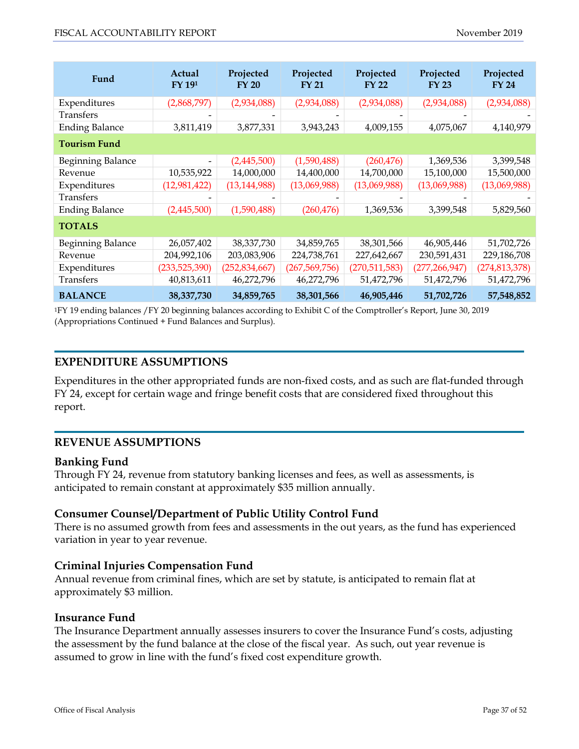| Fund                  | Actual<br>FY 191 | Projected<br><b>FY 20</b> | Projected<br><b>FY 21</b> | Projected<br><b>FY 22</b> | Projected<br><b>FY 23</b> | Projected<br><b>FY 24</b> |  |  |
|-----------------------|------------------|---------------------------|---------------------------|---------------------------|---------------------------|---------------------------|--|--|
| Expenditures          | (2,868,797)      | (2,934,088)               | (2,934,088)               | (2,934,088)               | (2,934,088)               | (2,934,088)               |  |  |
| Transfers             |                  |                           |                           |                           |                           |                           |  |  |
| <b>Ending Balance</b> | 3,811,419        | 3,877,331                 | 3,943,243                 | 4,009,155                 | 4,075,067                 | 4,140,979                 |  |  |
| <b>Tourism Fund</b>   |                  |                           |                           |                           |                           |                           |  |  |
| Beginning Balance     | -                | (2,445,500)               | (1,590,488)               | (260, 476)                | 1,369,536                 | 3,399,548                 |  |  |
| Revenue               | 10,535,922       | 14,000,000                | 14,400,000                | 14,700,000                | 15,100,000                | 15,500,000                |  |  |
| Expenditures          | (12, 981, 422)   | (13, 144, 988)            | (13,069,988)              | (13,069,988)              | (13,069,988)              | (13,069,988)              |  |  |
| Transfers             |                  |                           |                           |                           |                           |                           |  |  |
| <b>Ending Balance</b> | (2,445,500)      | (1,590,488)               | (260, 476)                | 1,369,536                 | 3,399,548                 | 5,829,560                 |  |  |
| <b>TOTALS</b>         |                  |                           |                           |                           |                           |                           |  |  |
| Beginning Balance     | 26,057,402       | 38,337,730                | 34,859,765                | 38,301,566                | 46,905,446                | 51,702,726                |  |  |
| Revenue               | 204,992,106      | 203,083,906               | 224,738,761               | 227,642,667               | 230,591,431               | 229,186,708               |  |  |
| Expenditures          | (233,525,390)    | (252, 834, 667)           | (267, 569, 756)           | (270,511,583)             | (277, 266, 947)           | (274, 813, 378)           |  |  |
| Transfers             | 40,813,611       | 46,272,796                | 46,272,796                | 51,472,796                | 51,472,796                | 51,472,796                |  |  |
| <b>BALANCE</b>        | 38,337,730       | 34,859,765                | 38,301,566                | 46,905,446                | 51,702,726                | 57,548,852                |  |  |

1FY 19 ending balances /FY 20 beginning balances according to Exhibit C of the Comptroller's Report, June 30, 2019 (Appropriations Continued + Fund Balances and Surplus).

#### **EXPENDITURE ASSUMPTIONS**

Expenditures in the other appropriated funds are non-fixed costs, and as such are flat-funded through FY 24, except for certain wage and fringe benefit costs that are considered fixed throughout this report.

#### **REVENUE ASSUMPTIONS**

#### **Banking Fund**

Through FY 24, revenue from statutory banking licenses and fees, as well as assessments, is anticipated to remain constant at approximately \$35 million annually.

#### **Consumer Counsel/Department of Public Utility Control Fund**

There is no assumed growth from fees and assessments in the out years, as the fund has experienced variation in year to year revenue.

#### **Criminal Injuries Compensation Fund**

Annual revenue from criminal fines, which are set by statute, is anticipated to remain flat at approximately \$3 million.

#### **Insurance Fund**

The Insurance Department annually assesses insurers to cover the Insurance Fund's costs, adjusting the assessment by the fund balance at the close of the fiscal year. As such, out year revenue is assumed to grow in line with the fund's fixed cost expenditure growth.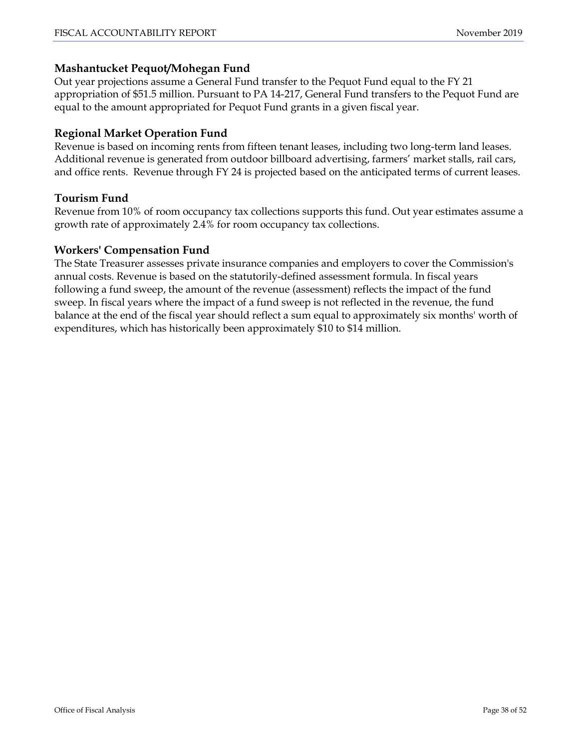## **Mashantucket Pequot/Mohegan Fund**

Out year projections assume a General Fund transfer to the Pequot Fund equal to the FY 21 appropriation of \$51.5 million. Pursuant to PA 14-217, General Fund transfers to the Pequot Fund are equal to the amount appropriated for Pequot Fund grants in a given fiscal year.

# **Regional Market Operation Fund**

Revenue is based on incoming rents from fifteen tenant leases, including two long-term land leases. Additional revenue is generated from outdoor billboard advertising, farmers' market stalls, rail cars, and office rents. Revenue through FY 24 is projected based on the anticipated terms of current leases.

## **Tourism Fund**

Revenue from 10% of room occupancy tax collections supports this fund. Out year estimates assume a growth rate of approximately 2.4% for room occupancy tax collections.

#### **Workers' Compensation Fund**

The State Treasurer assesses private insurance companies and employers to cover the Commission's annual costs. Revenue is based on the statutorily-defined assessment formula. In fiscal years following a fund sweep, the amount of the revenue (assessment) reflects the impact of the fund sweep. In fiscal years where the impact of a fund sweep is not reflected in the revenue, the fund balance at the end of the fiscal year should reflect a sum equal to approximately six months' worth of expenditures, which has historically been approximately \$10 to \$14 million.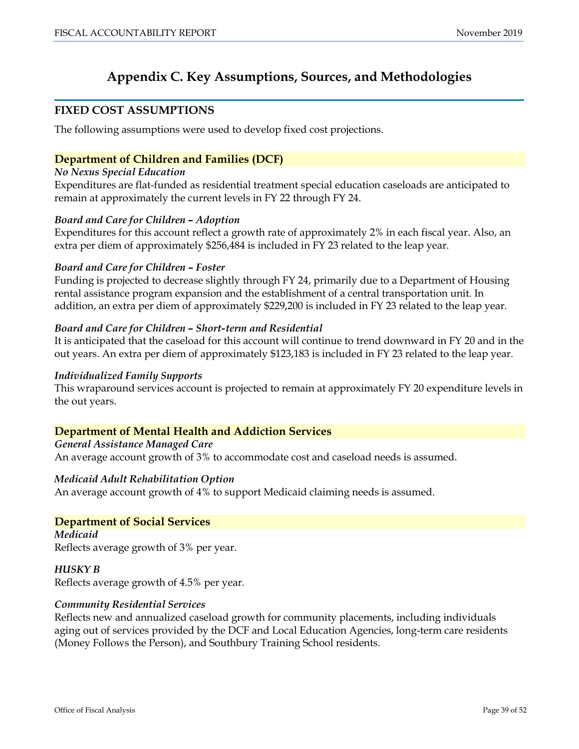# **Appendix C. Key Assumptions, Sources, and Methodologies**

#### <span id="page-38-0"></span>**FIXED COST ASSUMPTIONS**

The following assumptions were used to develop fixed cost projections.

## **Department of Children and Families (DCF)**

#### *No Nexus Special Education*

Expenditures are flat-funded as residential treatment special education caseloads are anticipated to remain at approximately the current levels in FY 22 through FY 24.

#### *Board and Care for Children – Adoption*

Expenditures for this account reflect a growth rate of approximately 2% in each fiscal year. Also, an extra per diem of approximately \$256,484 is included in FY 23 related to the leap year.

#### *Board and Care for Children – Foster*

Funding is projected to decrease slightly through FY 24, primarily due to a Department of Housing rental assistance program expansion and the establishment of a central transportation unit. In addition, an extra per diem of approximately \$229,200 is included in FY 23 related to the leap year.

#### *Board and Care for Children – Short-term and Residential*

It is anticipated that the caseload for this account will continue to trend downward in FY 20 and in the out years. An extra per diem of approximately \$123,183 is included in FY 23 related to the leap year.

#### *Individualized Family Supports*

This wraparound services account is projected to remain at approximately FY 20 expenditure levels in the out years.

#### **Department of Mental Health and Addiction Services**

#### *General Assistance Managed Care*

An average account growth of 3% to accommodate cost and caseload needs is assumed.

#### *Medicaid Adult Rehabilitation Option*

An average account growth of 4% to support Medicaid claiming needs is assumed.

#### **Department of Social Services**

*Medicaid*  Reflects average growth of 3% per year.

#### *HUSKY B*  Reflects average growth of 4.5% per year.

#### *Community Residential Services*

Reflects new and annualized caseload growth for community placements, including individuals aging out of services provided by the DCF and Local Education Agencies, long-term care residents (Money Follows the Person), and Southbury Training School residents.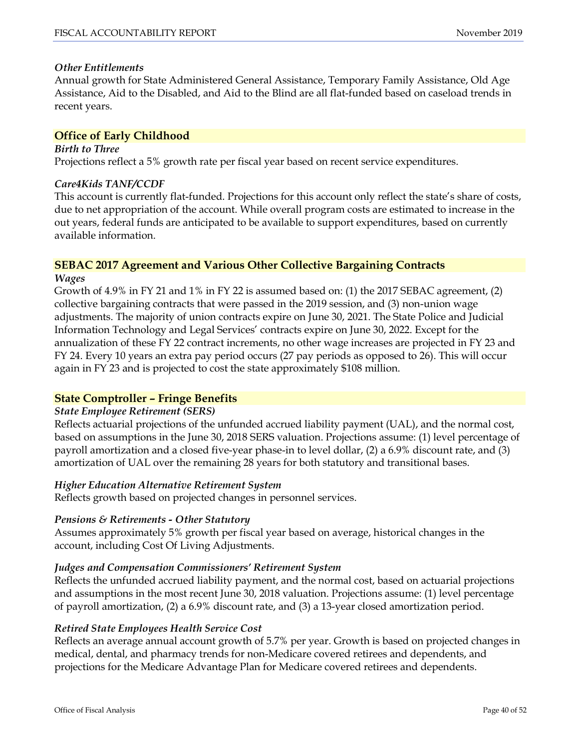#### *Other Entitlements*

Annual growth for State Administered General Assistance, Temporary Family Assistance, Old Age Assistance, Aid to the Disabled, and Aid to the Blind are all flat-funded based on caseload trends in recent years.

#### **Office of Early Childhood**

*Birth to Three*  Projections reflect a 5% growth rate per fiscal year based on recent service expenditures.

#### *Care4Kids TANF/CCDF*

This account is currently flat-funded. Projections for this account only reflect the state's share of costs, due to net appropriation of the account. While overall program costs are estimated to increase in the out years, federal funds are anticipated to be available to support expenditures, based on currently available information.

#### **SEBAC 2017 Agreement and Various Other Collective Bargaining Contracts** *Wages*

Growth of 4.9% in FY 21 and 1% in FY 22 is assumed based on: (1) the 2017 SEBAC agreement, (2) collective bargaining contracts that were passed in the 2019 session, and (3) non-union wage adjustments. The majority of union contracts expire on June 30, 2021. The State Police and Judicial Information Technology and Legal Services' contracts expire on June 30, 2022. Except for the annualization of these FY 22 contract increments, no other wage increases are projected in FY 23 and FY 24. Every 10 years an extra pay period occurs (27 pay periods as opposed to 26). This will occur again in FY 23 and is projected to cost the state approximately \$108 million.

#### **State Comptroller – Fringe Benefits**

#### *State Employee Retirement (SERS)*

Reflects actuarial projections of the unfunded accrued liability payment (UAL), and the normal cost, based on assumptions in the June 30, 2018 SERS valuation. Projections assume: (1) level percentage of payroll amortization and a closed five-year phase-in to level dollar, (2) a 6.9% discount rate, and (3) amortization of UAL over the remaining 28 years for both statutory and transitional bases.

#### *Higher Education Alternative Retirement System*

Reflects growth based on projected changes in personnel services.

#### *Pensions & Retirements - Other Statutory*

Assumes approximately 5% growth per fiscal year based on average, historical changes in the account, including Cost Of Living Adjustments.

#### *Judges and Compensation Commissioners' Retirement System*

Reflects the unfunded accrued liability payment, and the normal cost, based on actuarial projections and assumptions in the most recent June 30, 2018 valuation. Projections assume: (1) level percentage of payroll amortization, (2) a 6.9% discount rate, and (3) a 13-year closed amortization period.

#### *Retired State Employees Health Service Cost*

Reflects an average annual account growth of 5.7% per year. Growth is based on projected changes in medical, dental, and pharmacy trends for non-Medicare covered retirees and dependents, and projections for the Medicare Advantage Plan for Medicare covered retirees and dependents.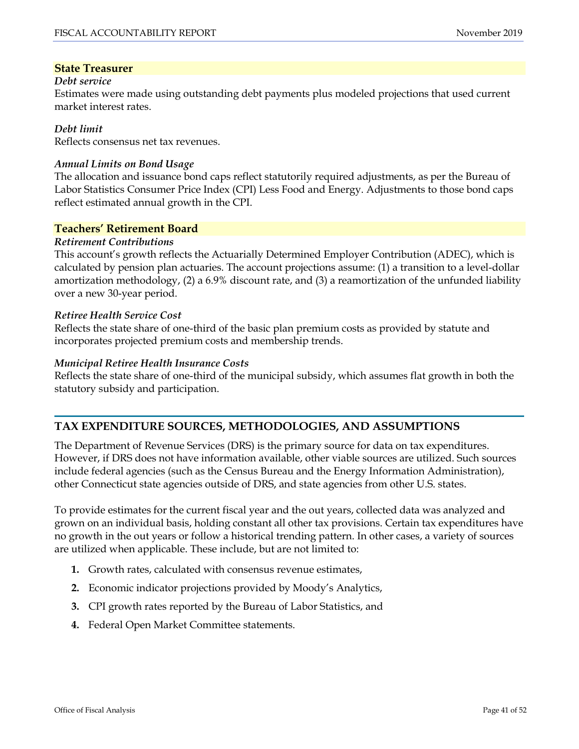#### **State Treasurer**

#### *Debt service*

Estimates were made using outstanding debt payments plus modeled projections that used current market interest rates.

#### *Debt limit*

Reflects consensus net tax revenues.

#### *Annual Limits on Bond Usage*

The allocation and issuance bond caps reflect statutorily required adjustments, as per the Bureau of Labor Statistics Consumer Price Index (CPI) Less Food and Energy. Adjustments to those bond caps reflect estimated annual growth in the CPI.

#### **Teachers' Retirement Board**

#### *Retirement Contributions*

This account's growth reflects the Actuarially Determined Employer Contribution (ADEC), which is calculated by pension plan actuaries. The account projections assume: (1) a transition to a level-dollar amortization methodology, (2) a 6.9% discount rate, and (3) a reamortization of the unfunded liability over a new 30-year period.

#### *Retiree Health Service Cost*

Reflects the state share of one-third of the basic plan premium costs as provided by statute and incorporates projected premium costs and membership trends.

#### *Municipal Retiree Health Insurance Costs*

Reflects the state share of one-third of the municipal subsidy, which assumes flat growth in both the statutory subsidy and participation.

# **TAX EXPENDITURE SOURCES, METHODOLOGIES, AND ASSUMPTIONS**

The Department of Revenue Services (DRS) is the primary source for data on tax expenditures. However, if DRS does not have information available, other viable sources are utilized. Such sources include federal agencies (such as the Census Bureau and the Energy Information Administration), other Connecticut state agencies outside of DRS, and state agencies from other U.S. states.

To provide estimates for the current fiscal year and the out years, collected data was analyzed and grown on an individual basis, holding constant all other tax provisions. Certain tax expenditures have no growth in the out years or follow a historical trending pattern. In other cases, a variety of sources are utilized when applicable. These include, but are not limited to:

- **1.** Growth rates, calculated with consensus revenue estimates,
- **2.** Economic indicator projections provided by Moody's Analytics,
- **3.** CPI growth rates reported by the Bureau of Labor Statistics, and
- **4.** Federal Open Market Committee statements.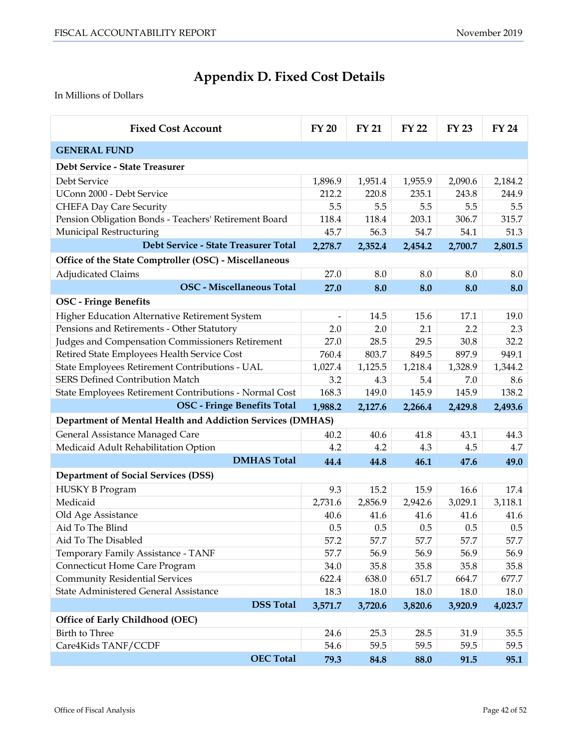# **Appendix D. Fixed Cost Details**

<span id="page-41-0"></span>In Millions of Dollars

| <b>Fixed Cost Account</b>                                  | <b>FY 20</b> | <b>FY 21</b> | <b>FY 22</b> | <b>FY 23</b> | <b>FY 24</b> |
|------------------------------------------------------------|--------------|--------------|--------------|--------------|--------------|
| <b>GENERAL FUND</b>                                        |              |              |              |              |              |
| Debt Service - State Treasurer                             |              |              |              |              |              |
| Debt Service                                               | 1,896.9      | 1,951.4      | 1,955.9      | 2,090.6      | 2,184.2      |
| UConn 2000 - Debt Service                                  | 212.2        | 220.8        | 235.1        | 243.8        | 244.9        |
| <b>CHEFA Day Care Security</b>                             | 5.5          | 5.5          | 5.5          | 5.5          | 5.5          |
| Pension Obligation Bonds - Teachers' Retirement Board      | 118.4        | 118.4        | 203.1        | 306.7        | 315.7        |
| Municipal Restructuring                                    | 45.7         | 56.3         | 54.7         | 54.1         | 51.3         |
| Debt Service - State Treasurer Total                       | 2,278.7      | 2,352.4      | 2,454.2      | 2,700.7      | 2,801.5      |
| Office of the State Comptroller (OSC) - Miscellaneous      |              |              |              |              |              |
| <b>Adjudicated Claims</b>                                  | 27.0         | 8.0          | 8.0          | 8.0          | 8.0          |
| <b>OSC</b> - Miscellaneous Total                           | 27.0         | 8.0          | 8.0          | 8.0          | 8.0          |
| <b>OSC</b> - Fringe Benefits                               |              |              |              |              |              |
| Higher Education Alternative Retirement System             |              | 14.5         | 15.6         | 17.1         | 19.0         |
| Pensions and Retirements - Other Statutory                 | 2.0          | 2.0          | 2.1          | 2.2          | 2.3          |
| Judges and Compensation Commissioners Retirement           | 27.0         | 28.5         | 29.5         | 30.8         | 32.2         |
| Retired State Employees Health Service Cost                | 760.4        | 803.7        | 849.5        | 897.9        | 949.1        |
| State Employees Retirement Contributions - UAL             |              | 1,125.5      | 1,218.4      | 1,328.9      | 1,344.2      |
| SERS Defined Contribution Match                            | 3.2          | 4.3          | 5.4          | 7.0          | 8.6          |
| State Employees Retirement Contributions - Normal Cost     |              | 149.0        | 145.9        | 145.9        | 138.2        |
| <b>OSC</b> - Fringe Benefits Total                         | 1,988.2      | 2,127.6      | 2,266.4      | 2,429.8      | 2,493.6      |
| Department of Mental Health and Addiction Services (DMHAS) |              |              |              |              |              |
| General Assistance Managed Care                            | 40.2         | 40.6         | 41.8         | 43.1         | 44.3         |
| Medicaid Adult Rehabilitation Option                       | 4.2          | 4.2          | 4.3          | 4.5          | 4.7          |
| <b>DMHAS Total</b>                                         | 44.4         | 44.8         | 46.1         | 47.6         | 49.0         |
| <b>Department of Social Services (DSS)</b>                 |              |              |              |              |              |
| <b>HUSKY B Program</b>                                     | 9.3          | 15.2         | 15.9         | 16.6         | 17.4         |
| Medicaid                                                   | 2,731.6      | 2,856.9      | 2,942.6      | 3,029.1      | 3,118.1      |
| Old Age Assistance                                         | 40.6         | 41.6         | 41.6         | 41.6         | 41.6         |
| Aid To The Blind                                           | 0.5          | 0.5          | 0.5          | 0.5          | 0.5          |
| Aid To The Disabled                                        | 57.2         | 57.7         | 57.7         | 57.7         | 57.7         |
| Temporary Family Assistance - TANF                         | 57.7         | 56.9         | 56.9         | 56.9         | 56.9         |
| Connecticut Home Care Program                              | 34.0         | 35.8         | 35.8         | 35.8         | 35.8         |
| <b>Community Residential Services</b>                      |              | 638.0        | 651.7        | 664.7        | 677.7        |
| State Administered General Assistance                      | 18.3         | 18.0         | 18.0         | 18.0         | 18.0         |
| <b>DSS Total</b>                                           | 3,571.7      | 3,720.6      | 3,820.6      | 3,920.9      | 4,023.7      |
| Office of Early Childhood (OEC)                            |              |              |              |              |              |
| Birth to Three                                             | 24.6         | 25.3         | 28.5         | 31.9         | 35.5         |
| Care4Kids TANF/CCDF                                        | 54.6         | 59.5         | 59.5         | 59.5         | 59.5         |
| <b>OEC Total</b>                                           | 79.3         | 84.8         | 88.0         | 91.5         | 95.1         |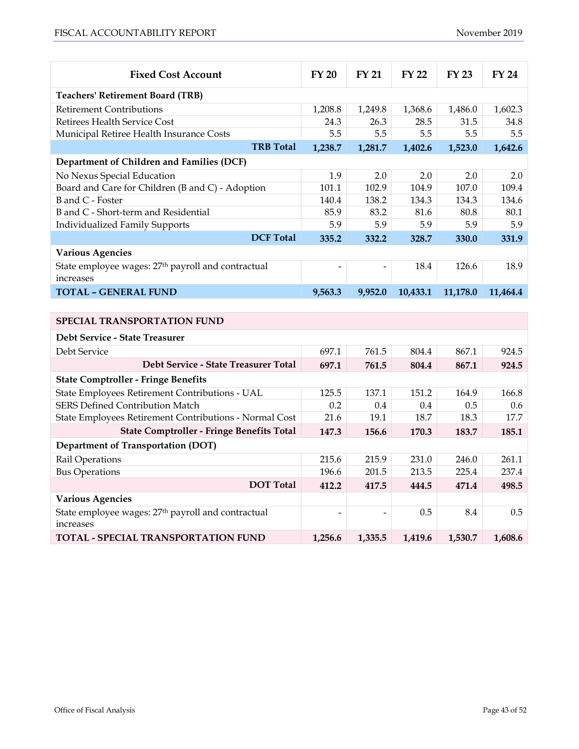| <b>Fixed Cost Account</b>                                                   | <b>FY 20</b>             | <b>FY 21</b> | <b>FY 22</b> | <b>FY 23</b> | <b>FY 24</b> |
|-----------------------------------------------------------------------------|--------------------------|--------------|--------------|--------------|--------------|
| <b>Teachers' Retirement Board (TRB)</b>                                     |                          |              |              |              |              |
| <b>Retirement Contributions</b>                                             | 1,208.8                  | 1,249.8      | 1,368.6      | 1,486.0      | 1,602.3      |
| Retirees Health Service Cost                                                | 24.3                     | 26.3         | 28.5         | 31.5         | 34.8         |
| Municipal Retiree Health Insurance Costs                                    | 5.5                      | 5.5          | 5.5          | 5.5          | 5.5          |
| <b>TRB Total</b>                                                            | 1,238.7                  | 1,281.7      | 1,402.6      | 1,523.0      | 1,642.6      |
| Department of Children and Families (DCF)                                   |                          |              |              |              |              |
| No Nexus Special Education                                                  | 1.9                      | 2.0          | 2.0          | 2.0          | 2.0          |
| Board and Care for Children (B and C) - Adoption                            | 101.1                    | 102.9        | 104.9        | 107.0        | 109.4        |
| B and C - Foster                                                            | 140.4                    | 138.2        | 134.3        | 134.3        | 134.6        |
| B and C - Short-term and Residential                                        | 85.9                     | 83.2         | 81.6         | 80.8         | 80.1         |
| <b>Individualized Family Supports</b>                                       | 5.9                      | 5.9          | 5.9          | 5.9          | 5.9          |
| <b>DCF Total</b>                                                            | 335.2                    | 332.2        | 328.7        | 330.0        | 331.9        |
| <b>Various Agencies</b>                                                     |                          |              |              |              |              |
| State employee wages: 27 <sup>th</sup> payroll and contractual<br>increases |                          |              | 18.4         | 126.6        | 18.9         |
| <b>TOTAL - GENERAL FUND</b>                                                 | 9,563.3                  | 9,952.0      | 10,433.1     | 11,178.0     | 11,464.4     |
|                                                                             |                          |              |              |              |              |
| <b>SPECIAL TRANSPORTATION FUND</b>                                          |                          |              |              |              |              |
| Debt Service - State Treasurer                                              |                          |              |              |              |              |
| Debt Service                                                                | 697.1                    | 761.5        | 804.4        | 867.1        | 924.5        |
| Debt Service - State Treasurer Total                                        | 697.1                    | 761.5        | 804.4        | 867.1        | 924.5        |
| <b>State Comptroller - Fringe Benefits</b>                                  |                          |              |              |              |              |
| State Employees Retirement Contributions - UAL                              | 125.5                    | 137.1        | 151.2        | 164.9        | 166.8        |
| <b>SERS Defined Contribution Match</b>                                      | 0.2                      | 0.4          | 0.4          | 0.5          | 0.6          |
| State Employees Retirement Contributions - Normal Cost                      | 21.6                     | 19.1         | 18.7         | 18.3         | 17.7         |
| <b>State Comptroller - Fringe Benefits Total</b>                            | 147.3                    | 156.6        | 170.3        | 183.7        | 185.1        |
| <b>Department of Transportation (DOT)</b>                                   |                          |              |              |              |              |
| Rail Operations                                                             | 215.6                    | 215.9        | 231.0        | 246.0        | 261.1        |
| <b>Bus Operations</b>                                                       | 196.6                    | 201.5        | 213.5        | 225.4        | 237.4        |
| <b>DOT</b> Total                                                            | 412.2                    | 417.5        | 444.5        | 471.4        | 498.5        |
| <b>Various Agencies</b>                                                     |                          |              |              |              |              |
| State employee wages: 27 <sup>th</sup> payroll and contractual<br>increases | $\overline{\phantom{0}}$ |              | 0.5          | 8.4          | 0.5          |

**TOTAL - SPECIAL TRANSPORTATION FUND 1,256.6 1,335.5 1,419.6 1,530.7 1,608.6**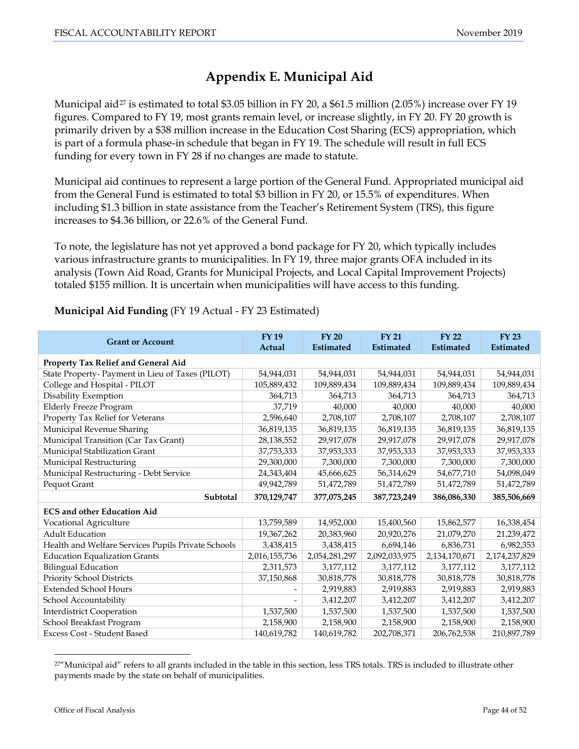# **Appendix E. Municipal Aid**

<span id="page-43-0"></span>Municipal aid<sup>[27](#page-31-1)</sup> is estimated to total \$3.05 billion in FY 20, a \$61.5 million (2.05%) increase over FY 19 figures. Compared to FY 19, most grants remain level, or increase slightly, in FY 20. FY 20 growth is primarily driven by a \$38 million increase in the Education Cost Sharing (ECS) appropriation, which is part of a formula phase-in schedule that began in FY 19. The schedule will result in full ECS funding for every town in FY 28 if no changes are made to statute.

Municipal aid continues to represent a large portion of the General Fund. Appropriated municipal aid from the General Fund is estimated to total \$3 billion in FY 20, or 15.5% of expenditures. When including \$1.3 billion in state assistance from the Teacher's Retirement System (TRS), this figure increases to \$4.36 billion, or 22.6% of the General Fund.

To note, the legislature has not yet approved a bond package for FY 20, which typically includes various infrastructure grants to municipalities. In FY 19, three major grants OFA included in its analysis (Town Aid Road, Grants for Municipal Projects, and Local Capital Improvement Projects) totaled \$155 million. It is uncertain when municipalities will have access to this funding.

| <b>Grant or Account</b>                            | <b>FY19</b><br>Actual | <b>FY 20</b><br><b>Estimated</b> | <b>FY 21</b><br><b>Estimated</b> | <b>FY 22</b><br><b>Estimated</b> | <b>FY 23</b><br><b>Estimated</b> |  |  |
|----------------------------------------------------|-----------------------|----------------------------------|----------------------------------|----------------------------------|----------------------------------|--|--|
| Property Tax Relief and General Aid                |                       |                                  |                                  |                                  |                                  |  |  |
| State Property- Payment in Lieu of Taxes (PILOT)   | 54,944,031            | 54,944,031                       | 54,944,031                       | 54,944,031                       | 54,944,031                       |  |  |
| College and Hospital - PILOT                       | 105,889,432           | 109,889,434                      | 109,889,434                      | 109,889,434                      | 109,889,434                      |  |  |
| Disability Exemption                               | 364,713               | 364,713                          | 364,713                          | 364,713                          | 364,713                          |  |  |
| <b>Elderly Freeze Program</b>                      | 37,719                | 40,000                           | 40,000                           | 40,000                           | 40,000                           |  |  |
| Property Tax Relief for Veterans                   | 2,596,640             | 2,708,107                        | 2,708,107                        | 2,708,107                        | 2,708,107                        |  |  |
| Municipal Revenue Sharing                          | 36,819,135            | 36,819,135                       | 36,819,135                       | 36,819,135                       | 36,819,135                       |  |  |
| Municipal Transition (Car Tax Grant)               | 28,138,552            | 29,917,078                       | 29,917,078                       | 29,917,078                       | 29,917,078                       |  |  |
| Municipal Stabilization Grant                      | 37,753,333            | 37,953,333                       | 37,953,333                       | 37,953,333                       | 37,953,333                       |  |  |
| Municipal Restructuring                            | 29,300,000            | 7,300,000                        | 7,300,000                        | 7,300,000                        | 7,300,000                        |  |  |
| Municipal Restructuring - Debt Service             | 24,343,404            | 45,666,625                       | 56,314,629                       | 54,677,710                       | 54,098,049                       |  |  |
| Pequot Grant                                       | 49,942,789            | 51,472,789                       | 51,472,789                       | 51,472,789                       | 51,472,789                       |  |  |
| Subtotal                                           | 370,129,747           | 377,075,245                      | 387,723,249                      | 386,086,330                      | 385,506,669                      |  |  |
| <b>ECS and other Education Aid</b>                 |                       |                                  |                                  |                                  |                                  |  |  |
| Vocational Agriculture                             | 13,759,589            | 14,952,000                       | 15,400,560                       | 15,862,577                       | 16,338,454                       |  |  |
| <b>Adult Education</b>                             | 19,367,262            | 20,383,960                       | 20,920,276                       | 21,079,270                       | 21,239,472                       |  |  |
| Health and Welfare Services Pupils Private Schools | 3,438,415             | 3,438,415                        | 6,694,146                        | 6,836,731                        | 6,982,353                        |  |  |
| <b>Education Equalization Grants</b>               | 2,016,155,736         | 2,054,281,297                    | 2,092,033,975                    | 2,134,170,671                    | 2,174,237,829                    |  |  |
| <b>Bilingual Education</b>                         | 2,311,573             | 3,177,112                        | 3,177,112                        | 3,177,112                        | 3,177,112                        |  |  |
| Priority School Districts                          | 37,150,868            | 30,818,778                       | 30,818,778                       | 30,818,778                       | 30,818,778                       |  |  |
| <b>Extended School Hours</b>                       |                       | 2,919,883                        | 2,919,883                        | 2,919,883                        | 2,919,883                        |  |  |
| School Accountability                              | -                     | 3,412,207                        | 3,412,207                        | 3,412,207                        | 3,412,207                        |  |  |
| <b>Interdistrict Cooperation</b>                   | 1,537,500             | 1,537,500                        | 1,537,500                        | 1,537,500                        | 1,537,500                        |  |  |
| School Breakfast Program                           | 2,158,900             | 2,158,900                        | 2,158,900                        | 2,158,900                        | 2,158,900                        |  |  |
| Excess Cost - Student Based                        | 140,619,782           | 140,619,782                      | 202,708,371                      | 206,762,538                      | 210,897,789                      |  |  |

# **Municipal Aid Funding** (FY 19 Actual - FY 23 Estimated)

<sup>&</sup>lt;sup>27"</sup>Municipal aid" refers to all grants included in the table in this section, less TRS totals. TRS is included to illustrate other payments made by the state on behalf of municipalities.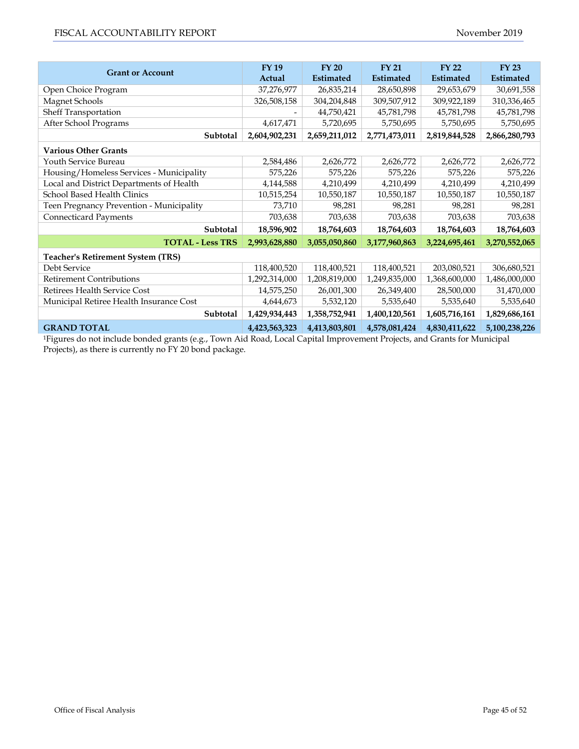| <b>Grant or Account</b>                  | <b>FY19</b><br>Actual | $FY$ 20<br><b>Estimated</b> | <b>FY 21</b><br><b>Estimated</b> | <b>FY 22</b><br><b>Estimated</b> | <b>FY 23</b><br><b>Estimated</b> |
|------------------------------------------|-----------------------|-----------------------------|----------------------------------|----------------------------------|----------------------------------|
| Open Choice Program                      | 37,276,977            | 26,835,214                  | 28,650,898                       | 29,653,679                       | 30,691,558                       |
| Magnet Schools                           | 326,508,158           | 304,204,848                 | 309,507,912                      | 309,922,189                      | 310,336,465                      |
| Sheff Transportation                     |                       | 44,750,421                  | 45,781,798                       | 45,781,798                       | 45,781,798                       |
| After School Programs                    | 4,617,471             | 5,720,695                   | 5,750,695                        | 5,750,695                        | 5,750,695                        |
| Subtotal                                 | 2,604,902,231         | 2,659,211,012               | 2,771,473,011                    | 2,819,844,528                    | 2,866,280,793                    |
| <b>Various Other Grants</b>              |                       |                             |                                  |                                  |                                  |
| Youth Service Bureau                     | 2,584,486             | 2,626,772                   | 2,626,772                        | 2,626,772                        | 2,626,772                        |
| Housing/Homeless Services - Municipality | 575,226               | 575,226                     | 575,226                          | 575,226                          | 575,226                          |
| Local and District Departments of Health | 4,144,588             | 4,210,499                   | 4,210,499                        | 4,210,499                        | 4,210,499                        |
| School Based Health Clinics              | 10,515,254            | 10,550,187                  | 10,550,187                       | 10,550,187                       | 10,550,187                       |
| Teen Pregnancy Prevention - Municipality | 73,710                | 98,281                      | 98,281                           | 98,281                           | 98,281                           |
| Connecticard Payments                    | 703,638               | 703,638                     | 703,638                          | 703,638                          | 703,638                          |
| Subtotal                                 | 18,596,902            | 18,764,603                  | 18,764,603                       | 18,764,603                       | 18,764,603                       |
| <b>TOTAL - Less TRS</b>                  | 2,993,628,880         | 3,055,050,860               | 3,177,960,863                    | 3,224,695,461                    | 3,270,552,065                    |
| <b>Teacher's Retirement System (TRS)</b> |                       |                             |                                  |                                  |                                  |
| Debt Service                             | 118,400,520           | 118,400,521                 | 118,400,521                      | 203,080,521                      | 306,680,521                      |
| <b>Retirement Contributions</b>          | 1,292,314,000         | 1,208,819,000               | 1,249,835,000                    | 1,368,600,000                    | 1,486,000,000                    |
| Retirees Health Service Cost             | 14,575,250            | 26,001,300                  | 26,349,400                       | 28,500,000                       | 31,470,000                       |
| Municipal Retiree Health Insurance Cost  | 4,644,673             | 5,532,120                   | 5,535,640                        | 5,535,640                        | 5,535,640                        |
| Subtotal                                 | 1,429,934,443         | 1,358,752,941               | 1,400,120,561                    | 1,605,716,161                    | 1,829,686,161                    |
| <b>GRAND TOTAL</b>                       | 4,423,563,323         | 4,413,803,801               | 4,578,081,424                    | 4,830,411,622                    | 5,100,238,226                    |

1Figures do not include bonded grants (e.g., Town Aid Road, Local Capital Improvement Projects, and Grants for Municipal Projects), as there is currently no FY 20 bond package.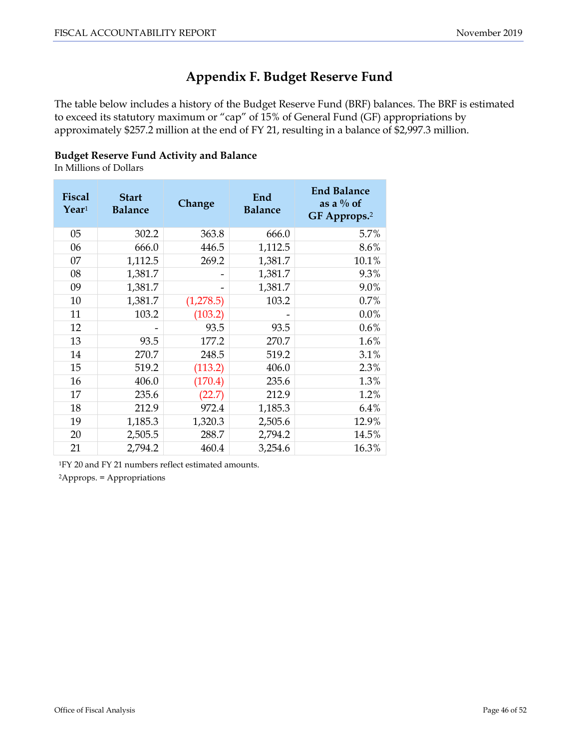# **Appendix F. Budget Reserve Fund**

<span id="page-45-0"></span>The table below includes a history of the Budget Reserve Fund (BRF) balances. The BRF is estimated to exceed its statutory maximum or "cap" of 15% of General Fund (GF) appropriations by approximately \$257.2 million at the end of FY 21, resulting in a balance of \$2,997.3 million.

#### **Budget Reserve Fund Activity and Balance**

In Millions of Dollars

| <b>Fiscal</b><br>$\text{Year}^1$ | <b>Start</b><br><b>Balance</b> | Change    | End<br><b>Balance</b> | <b>End Balance</b><br>as a $\%$ of<br>GF Approps. <sup>2</sup> |
|----------------------------------|--------------------------------|-----------|-----------------------|----------------------------------------------------------------|
| 05                               | 302.2                          | 363.8     | 666.0                 | 5.7%                                                           |
| 06                               | 666.0                          | 446.5     | 1,112.5               | 8.6%                                                           |
| 07                               | 1,112.5                        | 269.2     | 1,381.7               | 10.1%                                                          |
| 08                               | 1,381.7                        |           | 1,381.7               | 9.3%                                                           |
| 09                               | 1,381.7                        |           | 1,381.7               | 9.0%                                                           |
| 10                               | 1,381.7                        | (1,278.5) | 103.2                 | 0.7%                                                           |
| 11                               | 103.2                          | (103.2)   |                       | 0.0%                                                           |
| 12                               |                                | 93.5      | 93.5                  | 0.6%                                                           |
| 13                               | 93.5                           | 177.2     | 270.7                 | 1.6%                                                           |
| 14                               | 270.7                          | 248.5     | 519.2                 | 3.1%                                                           |
| 15                               | 519.2                          | (113.2)   | 406.0                 | 2.3%                                                           |
| 16                               | 406.0                          | (170.4)   | 235.6                 | 1.3%                                                           |
| 17                               | 235.6                          | (22.7)    | 212.9                 | 1.2%                                                           |
| 18                               | 212.9                          | 972.4     | 1,185.3               | 6.4%                                                           |
| 19                               | 1,185.3                        | 1,320.3   | 2,505.6               | 12.9%                                                          |
| 20                               | 2,505.5                        | 288.7     | 2,794.2               | 14.5%                                                          |
| 21                               | 2,794.2                        | 460.4     | 3,254.6               | 16.3%                                                          |

1FY 20 and FY 21 numbers reflect estimated amounts. 2Approps. = Appropriations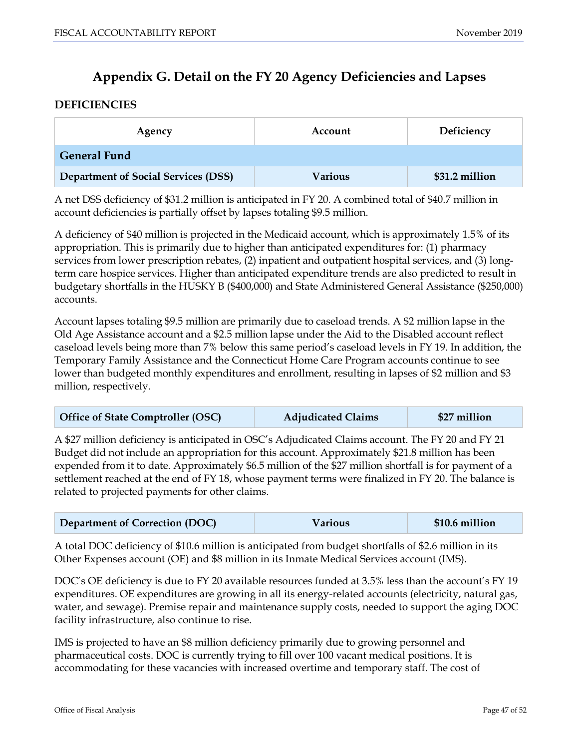# **Appendix G. Detail on the FY 20 Agency Deficiencies and Lapses**

## <span id="page-46-0"></span>**DEFICIENCIES**

| Account<br>Agency                          |                | Deficiency     |  |
|--------------------------------------------|----------------|----------------|--|
| <b>General Fund</b>                        |                |                |  |
| <b>Department of Social Services (DSS)</b> | <b>Various</b> | \$31.2 million |  |

A net DSS deficiency of \$31.2 million is anticipated in FY 20. A combined total of \$40.7 million in account deficiencies is partially offset by lapses totaling \$9.5 million.

A deficiency of \$40 million is projected in the Medicaid account, which is approximately 1.5% of its appropriation. This is primarily due to higher than anticipated expenditures for: (1) pharmacy services from lower prescription rebates, (2) inpatient and outpatient hospital services, and (3) longterm care hospice services. Higher than anticipated expenditure trends are also predicted to result in budgetary shortfalls in the HUSKY B (\$400,000) and State Administered General Assistance (\$250,000) accounts.

Account lapses totaling \$9.5 million are primarily due to caseload trends. A \$2 million lapse in the Old Age Assistance account and a \$2.5 million lapse under the Aid to the Disabled account reflect caseload levels being more than 7% below this same period's caseload levels in FY 19. In addition, the Temporary Family Assistance and the Connecticut Home Care Program accounts continue to see lower than budgeted monthly expenditures and enrollment, resulting in lapses of \$2 million and \$3 million, respectively.

| <b>Office of State Comptroller (OSC)</b> | <b>Adjudicated Claims</b> | \$27 million |
|------------------------------------------|---------------------------|--------------|
|------------------------------------------|---------------------------|--------------|

A \$27 million deficiency is anticipated in OSC's Adjudicated Claims account. The FY 20 and FY 21 Budget did not include an appropriation for this account. Approximately \$21.8 million has been expended from it to date. Approximately \$6.5 million of the \$27 million shortfall is for payment of a settlement reached at the end of FY 18, whose payment terms were finalized in FY 20. The balance is related to projected payments for other claims.

| <b>Department of Correction (DOC)</b> | <b>Various</b> | \$10.6 million |
|---------------------------------------|----------------|----------------|
|---------------------------------------|----------------|----------------|

A total DOC deficiency of \$10.6 million is anticipated from budget shortfalls of \$2.6 million in its Other Expenses account (OE) and \$8 million in its Inmate Medical Services account (IMS).

DOC's OE deficiency is due to FY 20 available resources funded at 3.5% less than the account's FY 19 expenditures. OE expenditures are growing in all its energy-related accounts (electricity, natural gas, water, and sewage). Premise repair and maintenance supply costs, needed to support the aging DOC facility infrastructure, also continue to rise.

IMS is projected to have an \$8 million deficiency primarily due to growing personnel and pharmaceutical costs. DOC is currently trying to fill over 100 vacant medical positions. It is accommodating for these vacancies with increased overtime and temporary staff. The cost of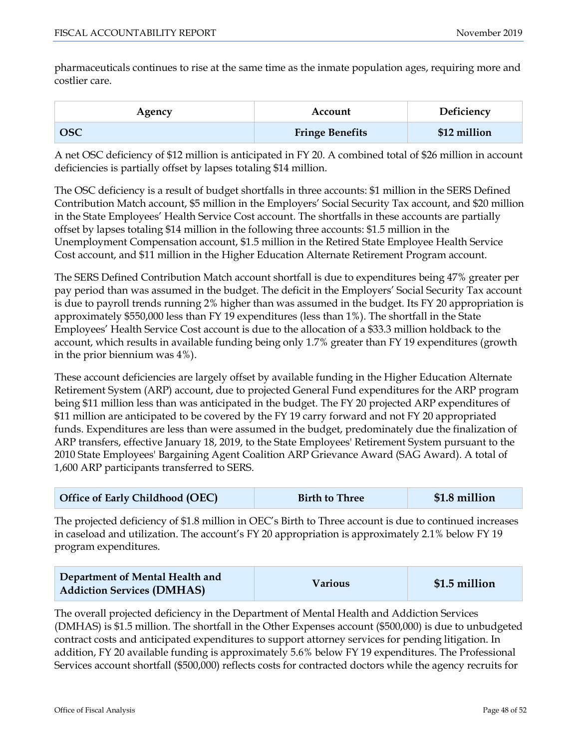pharmaceuticals continues to rise at the same time as the inmate population ages, requiring more and costlier care.

| Agency     | Account                | Deficiency   |  |
|------------|------------------------|--------------|--|
| <b>OSC</b> | <b>Fringe Benefits</b> | \$12 million |  |

A net OSC deficiency of \$12 million is anticipated in FY 20. A combined total of \$26 million in account deficiencies is partially offset by lapses totaling \$14 million.

The OSC deficiency is a result of budget shortfalls in three accounts: \$1 million in the SERS Defined Contribution Match account, \$5 million in the Employers' Social Security Tax account, and \$20 million in the State Employees' Health Service Cost account. The shortfalls in these accounts are partially offset by lapses totaling \$14 million in the following three accounts: \$1.5 million in the Unemployment Compensation account, \$1.5 million in the Retired State Employee Health Service Cost account, and \$11 million in the Higher Education Alternate Retirement Program account.

The SERS Defined Contribution Match account shortfall is due to expenditures being 47% greater per pay period than was assumed in the budget. The deficit in the Employers' Social Security Tax account is due to payroll trends running 2% higher than was assumed in the budget. Its FY 20 appropriation is approximately \$550,000 less than FY 19 expenditures (less than 1%). The shortfall in the State Employees' Health Service Cost account is due to the allocation of a \$33.3 million holdback to the account, which results in available funding being only 1.7% greater than FY 19 expenditures (growth in the prior biennium was 4%).

These account deficiencies are largely offset by available funding in the Higher Education Alternate Retirement System (ARP) account, due to projected General Fund expenditures for the ARP program being \$11 million less than was anticipated in the budget. The FY 20 projected ARP expenditures of \$11 million are anticipated to be covered by the FY 19 carry forward and not FY 20 appropriated funds. Expenditures are less than were assumed in the budget, predominately due the finalization of ARP transfers, effective January 18, 2019, to the State Employees' Retirement System pursuant to the 2010 State Employees' Bargaining Agent Coalition ARP Grievance Award (SAG Award). A total of 1,600 ARP participants transferred to SERS.

| Office of Early Childhood (OEC) | <b>Birth to Three</b> | \$1.8 million |
|---------------------------------|-----------------------|---------------|
|---------------------------------|-----------------------|---------------|

The projected deficiency of \$1.8 million in OEC's Birth to Three account is due to continued increases in caseload and utilization. The account's FY 20 appropriation is approximately 2.1% below FY 19 program expenditures.

The overall projected deficiency in the Department of Mental Health and Addiction Services (DMHAS) is \$1.5 million. The shortfall in the Other Expenses account (\$500,000) is due to unbudgeted contract costs and anticipated expenditures to support attorney services for pending litigation. In addition, FY 20 available funding is approximately 5.6% below FY 19 expenditures. The Professional Services account shortfall (\$500,000) reflects costs for contracted doctors while the agency recruits for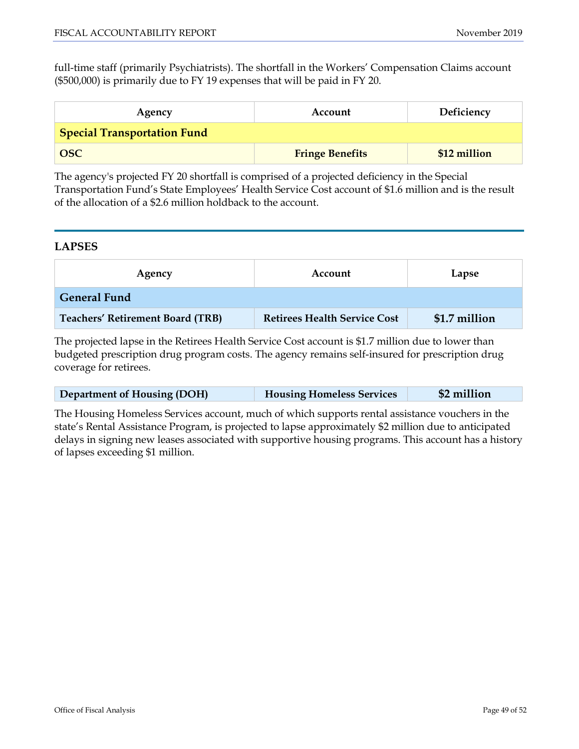full-time staff (primarily Psychiatrists). The shortfall in the Workers' Compensation Claims account (\$500,000) is primarily due to FY 19 expenses that will be paid in FY 20.

| Agency                             | Account                | Deficiency   |  |  |
|------------------------------------|------------------------|--------------|--|--|
| <b>Special Transportation Fund</b> |                        |              |  |  |
| <b>OSC</b>                         | <b>Fringe Benefits</b> | \$12 million |  |  |

The agency's projected FY 20 shortfall is comprised of a projected deficiency in the Special Transportation Fund's State Employees' Health Service Cost account of \$1.6 million and is the result of the allocation of a \$2.6 million holdback to the account.

# **LAPSES**

| Agency                                  | Account                             | Lapse         |  |  |
|-----------------------------------------|-------------------------------------|---------------|--|--|
| <b>General Fund</b>                     |                                     |               |  |  |
| <b>Teachers' Retirement Board (TRB)</b> | <b>Retirees Health Service Cost</b> | \$1.7 million |  |  |

The projected lapse in the Retirees Health Service Cost account is \$1.7 million due to lower than budgeted prescription drug program costs. The agency remains self-insured for prescription drug coverage for retirees.

| <b>Department of Housing (DOH)</b> | <b>Housing Homeless Services</b> | \$2 million |
|------------------------------------|----------------------------------|-------------|
|                                    |                                  |             |

The Housing Homeless Services account, much of which supports rental assistance vouchers in the state's Rental Assistance Program, is projected to lapse approximately \$2 million due to anticipated delays in signing new leases associated with supportive housing programs. This account has a history of lapses exceeding \$1 million.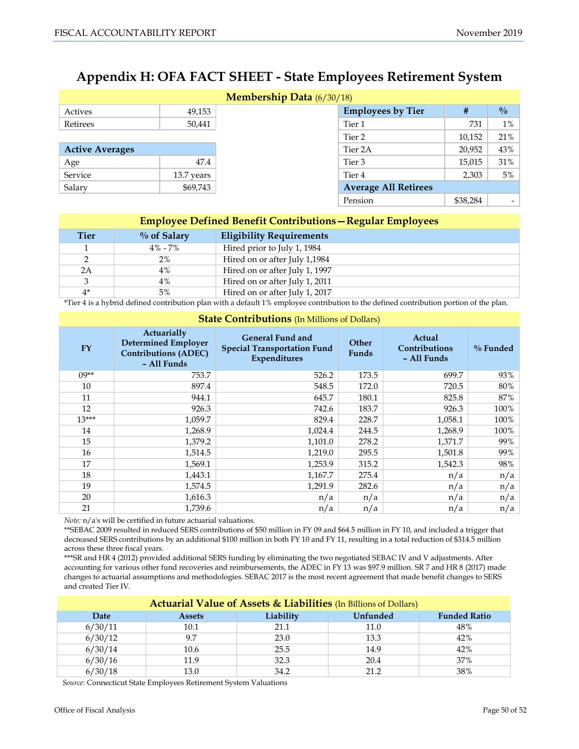# <span id="page-49-0"></span>**Appendix H: OFA FACT SHEET - State Employees Retirement System**

| <b>Membership Data</b> (6/30/18) |            |  |                             |          |                          |
|----------------------------------|------------|--|-----------------------------|----------|--------------------------|
| Actives                          | 49,153     |  | <b>Employees by Tier</b>    | #        | $\frac{0}{0}$            |
| Retirees                         | 50,441     |  | Tier 1                      |          |                          |
|                                  |            |  | Tier 2                      | 10,152   | 21%                      |
| <b>Active Averages</b>           |            |  | Tier 2A                     | 20.952   | 43%                      |
| Age                              | 47.4       |  | Tier 3                      | 15,015   | 31%                      |
| Service                          | 13.7 years |  | Tier <sub>4</sub>           | 2,303    | 5%                       |
| Salary                           | \$69,743   |  | <b>Average All Retirees</b> |          |                          |
|                                  |            |  | Pension                     | \$38,284 | $\overline{\phantom{a}}$ |

| <b>Employee Defined Benefit Contributions – Regular Employees</b> |                |                                 |  |
|-------------------------------------------------------------------|----------------|---------------------------------|--|
| <b>Tier</b>                                                       | $\%$ of Salary | <b>Eligibility Requirements</b> |  |
|                                                                   | $4\% - 7\%$    | Hired prior to July 1, 1984     |  |
| $\mathcal{D}$                                                     | $2\%$          | Hired on or after July 1,1984   |  |
| 2A                                                                | $4\%$          | Hired on or after July 1, 1997  |  |
| 3                                                                 | 4%             | Hired on or after July 1, 2011  |  |
| $4*$                                                              | 5%             | Hired on or after July 1, 2017  |  |

\*Tier 4 is a hybrid defined contribution plan with a default 1% employee contribution to the defined contribution portion of the plan.

| <b>State Contributions</b> (In Millions of Dollars) |                                                                                         |                                                                                      |                              |                                        |             |
|-----------------------------------------------------|-----------------------------------------------------------------------------------------|--------------------------------------------------------------------------------------|------------------------------|----------------------------------------|-------------|
| <b>FY</b>                                           | Actuarially<br><b>Determined Employer</b><br><b>Contributions (ADEC)</b><br>- All Funds | <b>General Fund and</b><br><b>Special Transportation Fund</b><br><b>Expenditures</b> | <b>Other</b><br><b>Funds</b> | Actual<br>Contributions<br>- All Funds | $\%$ Funded |
| $09**$                                              | 753.7                                                                                   | 526.2                                                                                | 173.5                        | 699.7                                  | 93%         |
| 10                                                  | 897.4                                                                                   | 548.5                                                                                | 172.0                        | 720.5                                  | 80%         |
| 11                                                  | 944.1                                                                                   | 645.7                                                                                | 180.1                        | 825.8                                  | 87%         |
| 12                                                  | 926.3                                                                                   | 742.6                                                                                | 183.7                        | 926.3                                  | 100%        |
| $13***$                                             | 1,059.7                                                                                 | 829.4                                                                                | 228.7                        | 1,058.1                                | 100%        |
| 14                                                  | 1,268.9                                                                                 | 1,024.4                                                                              | 244.5                        | 1,268.9                                | 100%        |
| 15                                                  | 1,379.2                                                                                 | 1,101.0                                                                              | 278.2                        | 1,371.7                                | 99%         |
| 16                                                  | 1,514.5                                                                                 | 1,219.0                                                                              | 295.5                        | 1,501.8                                | 99%         |
| 17                                                  | 1,569.1                                                                                 | 1,253.9                                                                              | 315.2                        | 1,542.3                                | 98%         |
| 18                                                  | 1,443.1                                                                                 | 1,167.7                                                                              | 275.4                        | n/a                                    | n/a         |
| 19                                                  | 1,574.5                                                                                 | 1,291.9                                                                              | 282.6                        | n/a                                    | n/a         |
| 20                                                  | 1,616.3                                                                                 | n/a                                                                                  | n/a                          | n/a                                    | n/a         |
| 21                                                  | 1,739.6                                                                                 | n/a                                                                                  | n/a                          | n/a                                    | n/a         |

*Note:* n/a's will be certified in future actuarial valuations.

\*\*SEBAC 2009 resulted in reduced SERS contributions of \$50 million in FY 09 and \$64.5 million in FY 10, and included a trigger that decreased SERS contributions by an additional \$100 million in both FY 10 and FY 11, resulting in a total reduction of \$314.5 million across these three fiscal years.

\*\*\*SR and HR 4 (2012) provided additional SERS funding by eliminating the two negotiated SEBAC IV and V adjustments. After accounting for various other fund recoveries and reimbursements, the ADEC in FY 13 was \$97.9 million. SR 7 and HR 8 (2017) made changes to actuarial assumptions and methodologies. SEBAC 2017 is the most recent agreement that made benefit changes to SERS and created Tier IV.

| <b>Actuarial Value of Assets &amp; Liabilities (In Billions of Dollars)</b> |               |           |                 |                     |  |
|-----------------------------------------------------------------------------|---------------|-----------|-----------------|---------------------|--|
| Date                                                                        | <b>Assets</b> | Liability | <b>Unfunded</b> | <b>Funded Ratio</b> |  |
| 6/30/11                                                                     | 10.1          | 21.1      | 11.0            | 48%                 |  |
| 6/30/12                                                                     | 9.7           | 23.0      | 13.3            | 42%                 |  |
| 6/30/14                                                                     | 10.6          | 25.5      | 14.9            | 42%                 |  |
| 6/30/16                                                                     | 11.9          | 32.3      | 20.4            | 37%                 |  |
| 6/30/18                                                                     | 13.0          | 34.2      | 21.2            | 38%                 |  |

*Source:* Connecticut State Employees Retirement System Valuations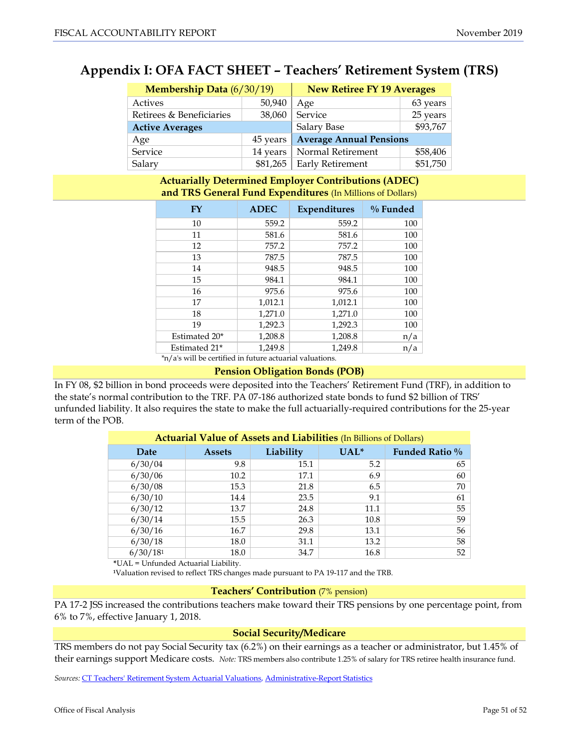# <span id="page-50-0"></span>**Appendix I: OFA FACT SHEET – Teachers' Retirement System (TRS)**

| Membership Data (6/30/19) |          | <b>New Retiree FY 19 Averages</b> |          |
|---------------------------|----------|-----------------------------------|----------|
| Actives                   | 50,940   | Age                               | 63 years |
| Retirees & Beneficiaries  | 38,060   | Service                           | 25 years |
| <b>Active Averages</b>    |          | Salary Base                       | \$93,767 |
| Age                       | 45 years | <b>Average Annual Pensions</b>    |          |
| Service                   | 14 years | Normal Retirement                 | \$58,406 |
| Salary                    |          | \$81,265   Early Retirement       | \$51,750 |

#### **Actuarially Determined Employer Contributions (ADEC) and TRS General Fund Expenditures** (In Millions of Dollars)

| FY                                                       | <b>ADEC</b> | Expenditures | $\%$ Funded |  |  |
|----------------------------------------------------------|-------------|--------------|-------------|--|--|
| 10                                                       | 559.2       | 559.2        | 100         |  |  |
| 11                                                       | 581.6       | 581.6        | 100         |  |  |
| 12                                                       | 757.2       | 757.2        | 100         |  |  |
| 13                                                       | 787.5       | 787.5        | 100         |  |  |
| 14                                                       | 948.5       | 948.5        | 100         |  |  |
| 15                                                       | 984.1       | 984.1        | 100         |  |  |
| 16                                                       | 975.6       | 975.6        | 100         |  |  |
| 17                                                       | 1,012.1     | 1,012.1      | 100         |  |  |
| 18                                                       | 1,271.0     | 1,271.0      | 100         |  |  |
| 19                                                       | 1,292.3     | 1,292.3      | 100         |  |  |
| Estimated 20*                                            | 1,208.8     | 1,208.8      | n/a         |  |  |
| Estimated 21*                                            | 1,249.8     | 1,249.8      | n/a         |  |  |
| *n/a's will be certified in future actuarial valuations. |             |              |             |  |  |

# **Pension Obligation Bonds (POB)**

In FY 08, \$2 billion in bond proceeds were deposited into the Teachers' Retirement Fund (TRF), in addition to the state's normal contribution to the TRF. PA 07-186 authorized state bonds to fund \$2 billion of TRS' unfunded liability. It also requires the state to make the full actuarially-required contributions for the 25-year term of the POB.

| <b>Actuarial Value of Assets and Liabilities (In Billions of Dollars)</b> |               |           |         |                |  |  |
|---------------------------------------------------------------------------|---------------|-----------|---------|----------------|--|--|
| Date                                                                      | <b>Assets</b> | Liability | $UAL^*$ | Funded Ratio % |  |  |
| 6/30/04                                                                   | 9.8           | 15.1      | 5.2     | 65             |  |  |
| 6/30/06                                                                   | 10.2          | 17.1      | 6.9     | 60             |  |  |
| 6/30/08                                                                   | 15.3          | 21.8      | 6.5     | 70             |  |  |
| 6/30/10                                                                   | 14.4          | 23.5      | 9.1     | 61             |  |  |
| 6/30/12                                                                   | 13.7          | 24.8      | 11.1    | 55             |  |  |
| 6/30/14                                                                   | 15.5          | 26.3      | 10.8    | 59             |  |  |
| 6/30/16                                                                   | 16.7          | 29.8      | 13.1    | 56             |  |  |
| 6/30/18                                                                   | 18.0          | 31.1      | 13.2    | 58             |  |  |
| 6/30/181                                                                  | 18.0          | 34.7      | 16.8    | 52             |  |  |

**\***UAL = Unfunded Actuarial Liability.

**<sup>1</sup>**Valuation revised to reflect TRS changes made pursuant to PA 19-117 and the TRB.

#### **Teachers' Contribution** (7% pension)

PA 17-2 JSS increased the contributions teachers make toward their TRS pensions by one percentage point, from 6% to 7%, effective January 1, 2018.

#### **Social Security/Medicare**

TRS members do not pay Social Security tax (6.2%) on their earnings as a teacher or administrator, but 1.45% of their earnings support Medicare costs. *Note:* TRS members also contribute 1.25% of salary for TRS retiree health insurance fund.

*Sources:* [CT Teachers' Retirement System Actuarial Valuations,](http://www.ct.gov/trb/cwp/view.asp?a=1581&Q=272188&trbNav=|) [Administrative-Report Statistics](https://portal.ct.gov/TRB/Content/Other-Resources/Statistics-and-Research/Administrative-Report-Statistics)